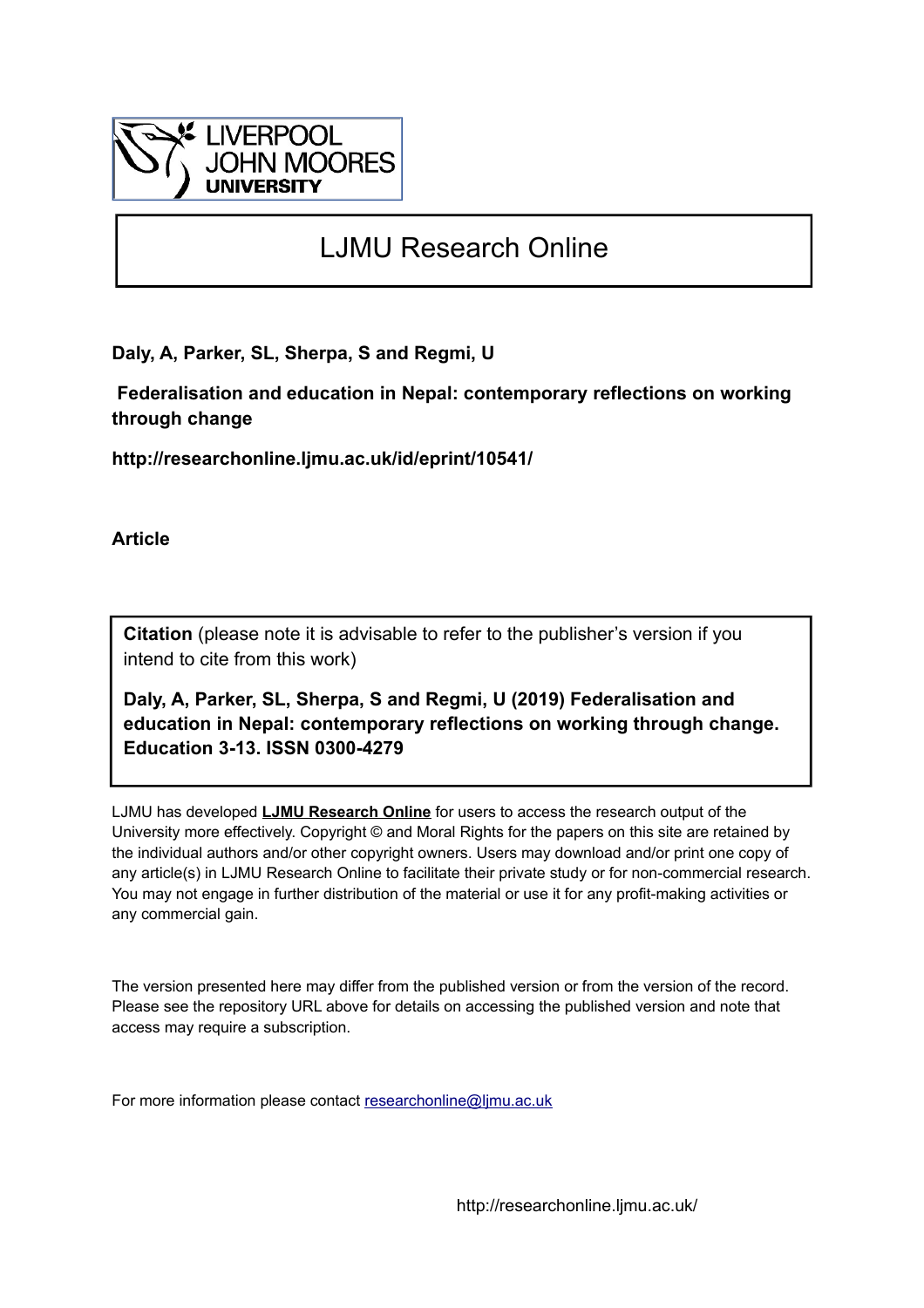

# LJMU Research Online

**Daly, A, Parker, SL, Sherpa, S and Regmi, U**

 **Federalisation and education in Nepal: contemporary reflections on working through change**

**http://researchonline.ljmu.ac.uk/id/eprint/10541/**

**Article**

**Citation** (please note it is advisable to refer to the publisher's version if you intend to cite from this work)

**Daly, A, Parker, SL, Sherpa, S and Regmi, U (2019) Federalisation and education in Nepal: contemporary reflections on working through change. Education 3-13. ISSN 0300-4279** 

LJMU has developed **[LJMU Research Online](http://researchonline.ljmu.ac.uk/)** for users to access the research output of the University more effectively. Copyright © and Moral Rights for the papers on this site are retained by the individual authors and/or other copyright owners. Users may download and/or print one copy of any article(s) in LJMU Research Online to facilitate their private study or for non-commercial research. You may not engage in further distribution of the material or use it for any profit-making activities or any commercial gain.

The version presented here may differ from the published version or from the version of the record. Please see the repository URL above for details on accessing the published version and note that access may require a subscription.

For more information please contact [researchonline@ljmu.ac.uk](mailto:researchonline@ljmu.ac.uk)

http://researchonline.ljmu.ac.uk/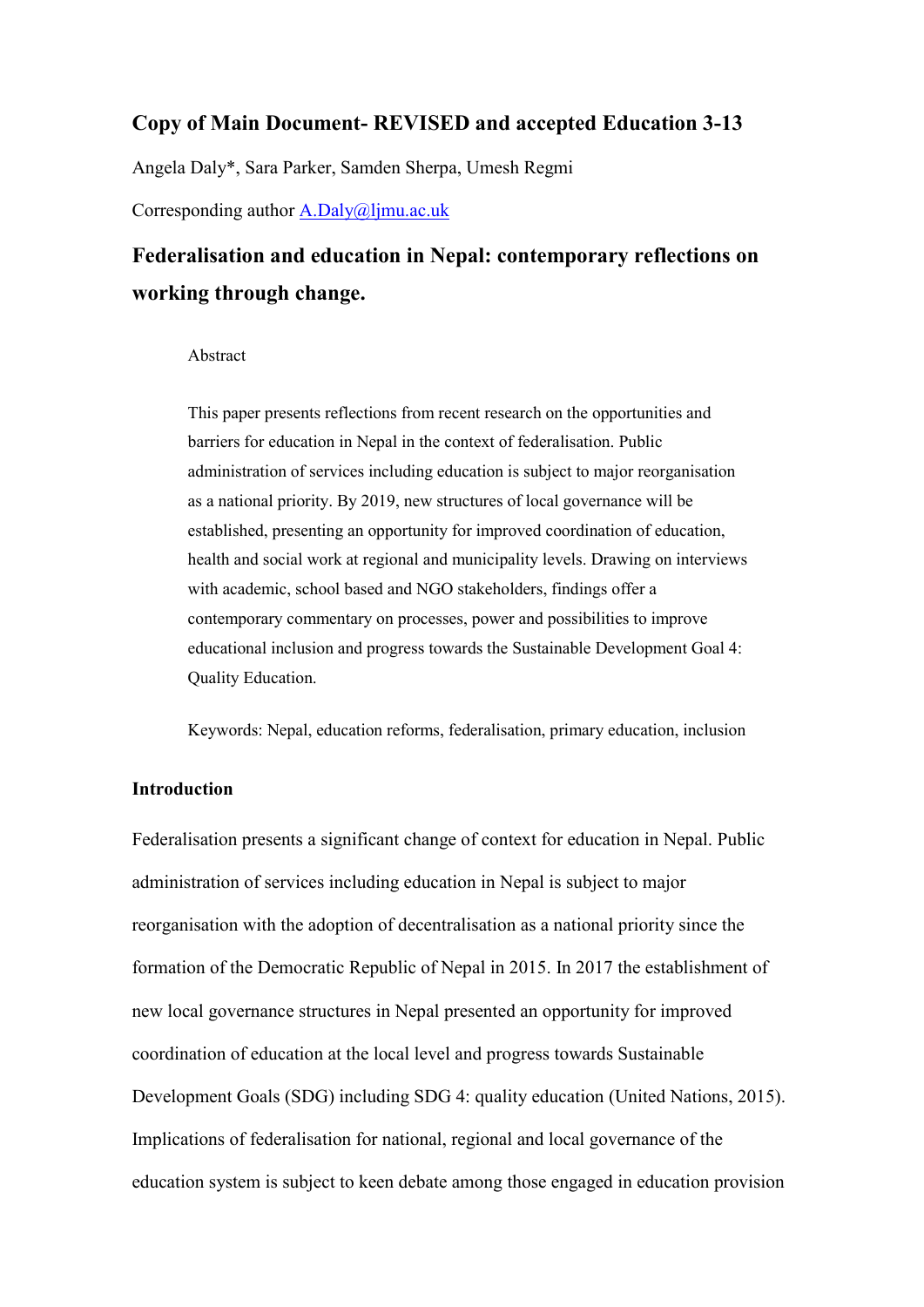## **Copy of Main Document- REVISED and accepted Education 3-13**

Angela Daly\*, Sara Parker, Samden Sherpa, Umesh Regmi

Corresponding author [A.Daly@ljmu.ac.uk](mailto:A.Daly@ljmu.ac.uk)

## **Federalisation and education in Nepal: contemporary reflections on working through change.**

#### Abstract

This paper presents reflections from recent research on the opportunities and barriers for education in Nepal in the context of federalisation. Public administration of services including education is subject to major reorganisation as a national priority. By 2019, new structures of local governance will be established, presenting an opportunity for improved coordination of education, health and social work at regional and municipality levels. Drawing on interviews with academic, school based and NGO stakeholders, findings offer a contemporary commentary on processes, power and possibilities to improve educational inclusion and progress towards the Sustainable Development Goal 4: Quality Education.

Keywords: Nepal, education reforms, federalisation, primary education, inclusion

### **Introduction**

Federalisation presents a significant change of context for education in Nepal. Public administration of services including education in Nepal is subject to major reorganisation with the adoption of decentralisation as a national priority since the formation of the Democratic Republic of Nepal in 2015. In 2017 the establishment of new local governance structures in Nepal presented an opportunity for improved coordination of education at the local level and progress towards Sustainable Development Goals (SDG) including SDG 4: quality education (United Nations, 2015). Implications of federalisation for national, regional and local governance of the education system is subject to keen debate among those engaged in education provision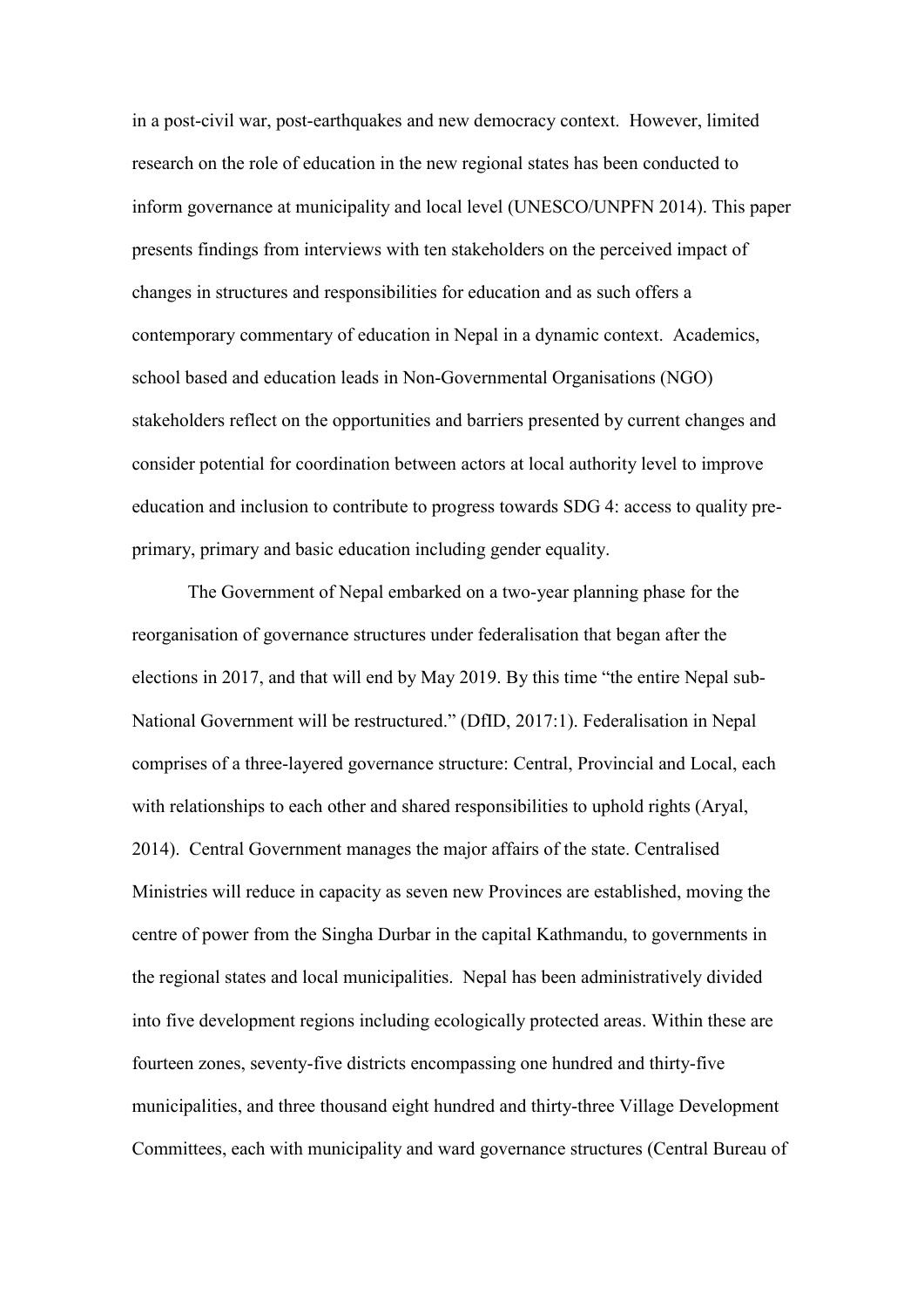in a post-civil war, post-earthquakes and new democracy context. However, limited research on the role of education in the new regional states has been conducted to inform governance at municipality and local level (UNESCO/UNPFN 2014). This paper presents findings from interviews with ten stakeholders on the perceived impact of changes in structures and responsibilities for education and as such offers a contemporary commentary of education in Nepal in a dynamic context. Academics, school based and education leads in Non-Governmental Organisations (NGO) stakeholders reflect on the opportunities and barriers presented by current changes and consider potential for coordination between actors at local authority level to improve education and inclusion to contribute to progress towards SDG 4: access to quality preprimary, primary and basic education including gender equality.

The Government of Nepal embarked on a two-year planning phase for the reorganisation of governance structures under federalisation that began after the elections in 2017, and that will end by May 2019. By this time "the entire Nepal sub-National Government will be restructured." (DfID, 2017:1). Federalisation in Nepal comprises of a three-layered governance structure: Central, Provincial and Local, each with relationships to each other and shared responsibilities to uphold rights (Aryal, 2014). Central Government manages the major affairs of the state. Centralised Ministries will reduce in capacity as seven new Provinces are established, moving the centre of power from the Singha Durbar in the capital Kathmandu, to governments in the regional states and local municipalities. Nepal has been administratively divided into five development regions including ecologically protected areas. Within these are fourteen zones, seventy-five districts encompassing one hundred and thirty-five municipalities, and three thousand eight hundred and thirty-three Village Development Committees, each with municipality and ward governance structures (Central Bureau of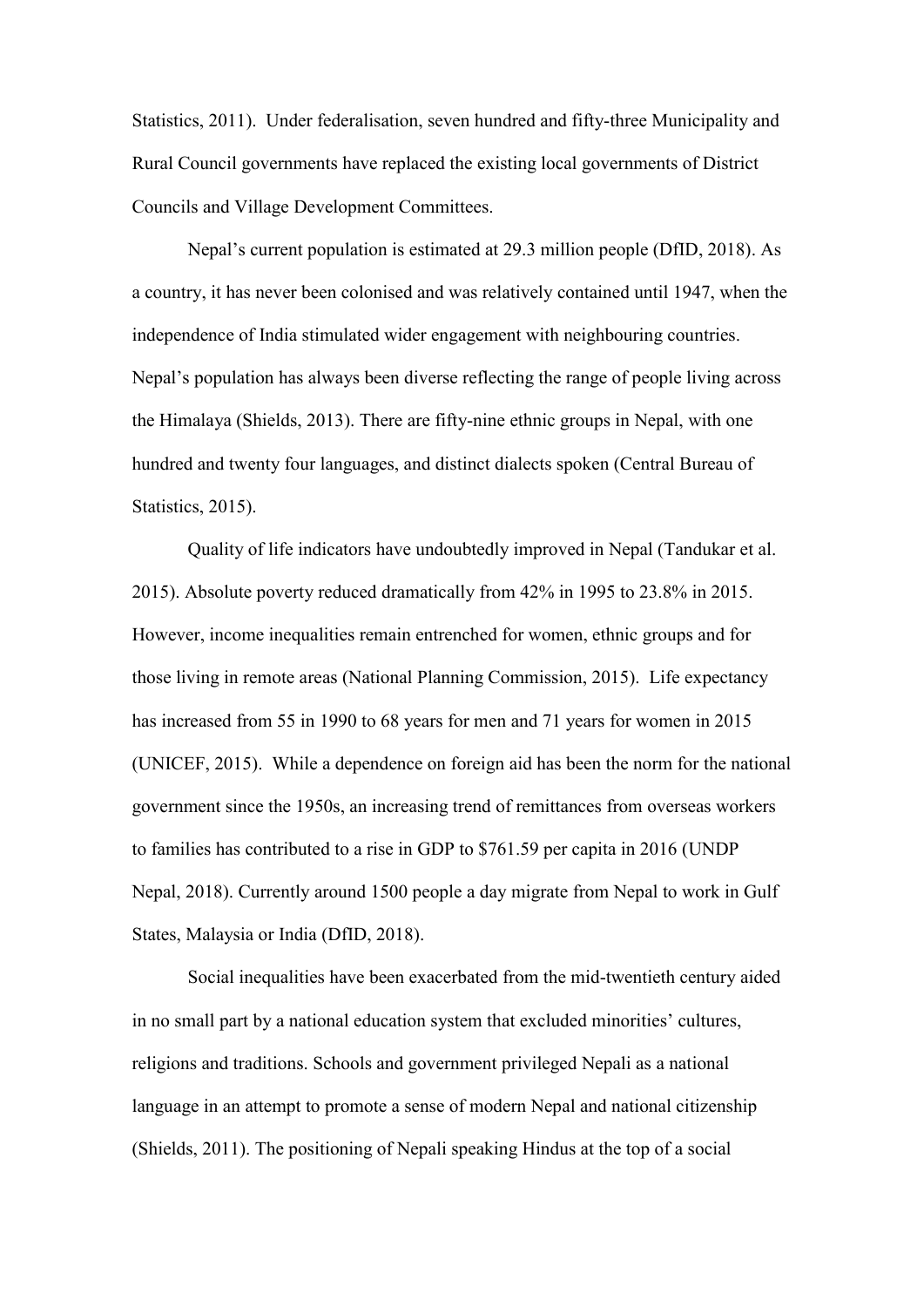Statistics, 2011). Under federalisation, seven hundred and fifty-three Municipality and Rural Council governments have replaced the existing local governments of District Councils and Village Development Committees.

Nepal's current population is estimated at 29.3 million people (DfID, 2018). As a country, it has never been colonised and was relatively contained until 1947, when the independence of India stimulated wider engagement with neighbouring countries. Nepal's population has always been diverse reflecting the range of people living across the Himalaya (Shields, 2013). There are fifty-nine ethnic groups in Nepal, with one hundred and twenty four languages, and distinct dialects spoken (Central Bureau of Statistics, 2015).

Quality of life indicators have undoubtedly improved in Nepal (Tandukar et al. 2015). Absolute poverty reduced dramatically from 42% in 1995 to 23.8% in 2015. However, income inequalities remain entrenched for women, ethnic groups and for those living in remote areas (National Planning Commission, 2015). Life expectancy has increased from 55 in 1990 to 68 years for men and 71 years for women in 2015 (UNICEF, 2015). While a dependence on foreign aid has been the norm for the national government since the 1950s, an increasing trend of remittances from overseas workers to families has contributed to a rise in GDP to \$761.59 per capita in 2016 (UNDP Nepal, 2018). Currently around 1500 people a day migrate from Nepal to work in Gulf States, Malaysia or India (DfID, 2018).

Social inequalities have been exacerbated from the mid-twentieth century aided in no small part by a national education system that excluded minorities' cultures, religions and traditions. Schools and government privileged Nepali as a national language in an attempt to promote a sense of modern Nepal and national citizenship (Shields, 2011). The positioning of Nepali speaking Hindus at the top of a social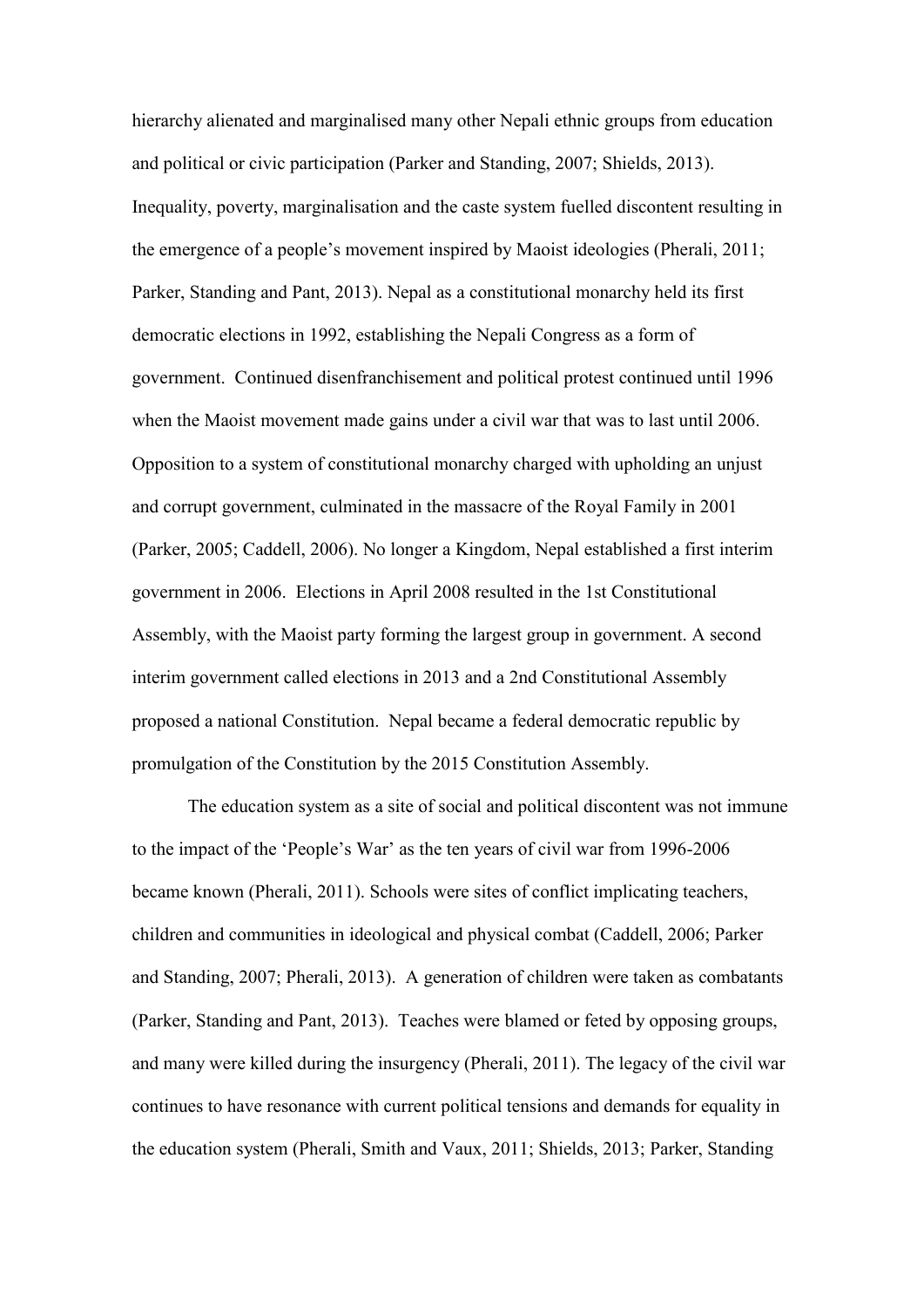hierarchy alienated and marginalised many other Nepali ethnic groups from education and political or civic participation (Parker and Standing, 2007; Shields, 2013). Inequality, poverty, marginalisation and the caste system fuelled discontent resulting in the emergence of a people's movement inspired by Maoist ideologies (Pherali, 2011; Parker, Standing and Pant, 2013). Nepal as a constitutional monarchy held its first democratic elections in 1992, establishing the Nepali Congress as a form of government. Continued disenfranchisement and political protest continued until 1996 when the Maoist movement made gains under a civil war that was to last until 2006. Opposition to a system of constitutional monarchy charged with upholding an unjust and corrupt government, culminated in the massacre of the Royal Family in 2001 (Parker, 2005; Caddell, 2006). No longer a Kingdom, Nepal established a first interim government in 2006. Elections in April 2008 resulted in the 1st Constitutional Assembly, with the Maoist party forming the largest group in government. A second interim government called elections in 2013 and a 2nd Constitutional Assembly proposed a national Constitution. Nepal became a federal democratic republic by promulgation of the Constitution by the 2015 Constitution Assembly.

The education system as a site of social and political discontent was not immune to the impact of the 'People's War' as the ten years of civil war from 1996-2006 became known (Pherali, 2011). Schools were sites of conflict implicating teachers, children and communities in ideological and physical combat (Caddell, 2006; Parker and Standing, 2007; Pherali, 2013). A generation of children were taken as combatants (Parker, Standing and Pant, 2013). Teaches were blamed or feted by opposing groups, and many were killed during the insurgency (Pherali, 2011). The legacy of the civil war continues to have resonance with current political tensions and demands for equality in the education system (Pherali, Smith and Vaux, 2011; Shields, 2013; Parker, Standing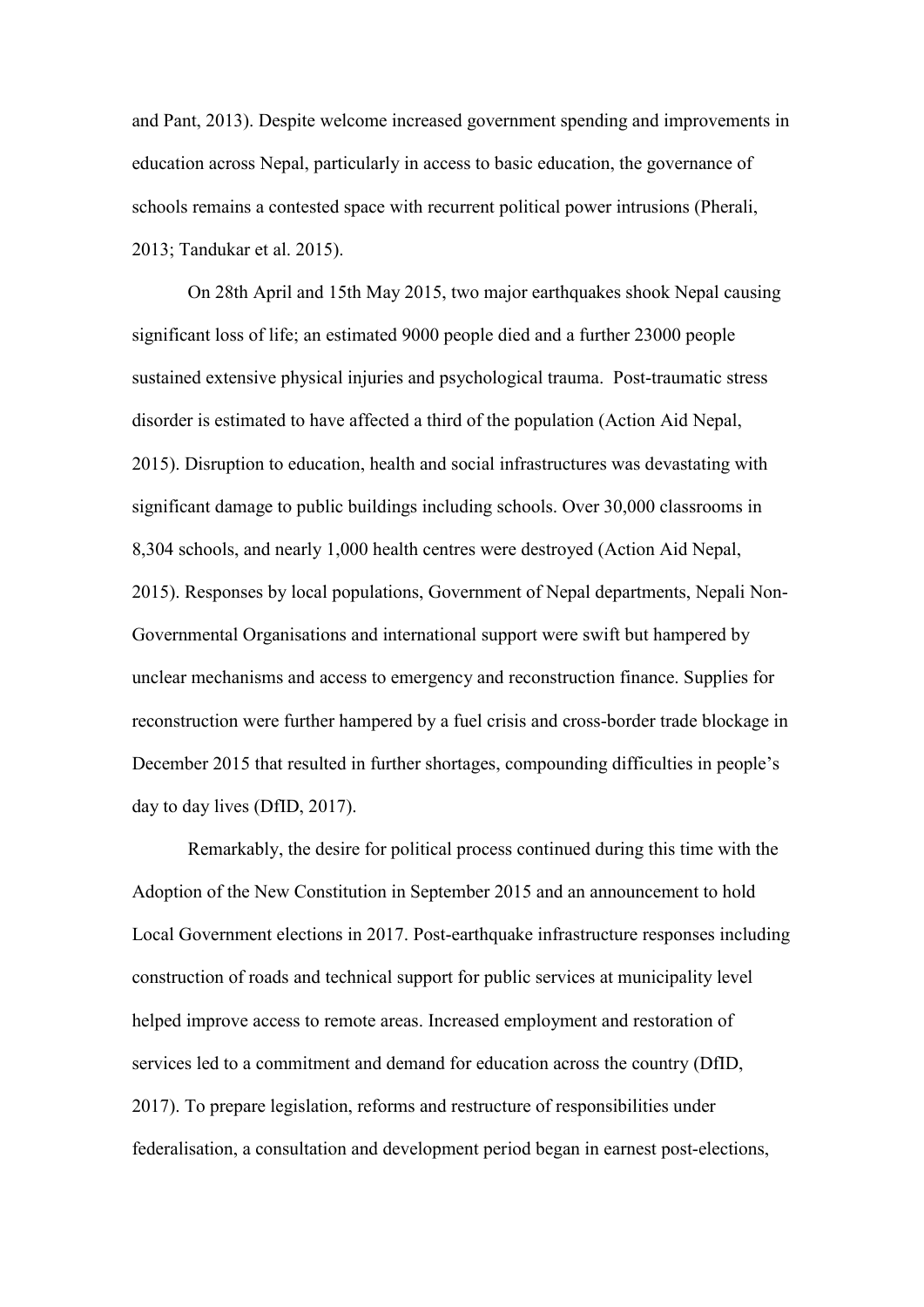and Pant, 2013). Despite welcome increased government spending and improvements in education across Nepal, particularly in access to basic education, the governance of schools remains a contested space with recurrent political power intrusions (Pherali, 2013; Tandukar et al. 2015).

On 28th April and 15th May 2015, two major earthquakes shook Nepal causing significant loss of life; an estimated 9000 people died and a further 23000 people sustained extensive physical injuries and psychological trauma. Post-traumatic stress disorder is estimated to have affected a third of the population (Action Aid Nepal, 2015). Disruption to education, health and social infrastructures was devastating with significant damage to public buildings including schools. Over 30,000 classrooms in 8,304 schools, and nearly 1,000 health centres were destroyed (Action Aid Nepal, 2015). Responses by local populations, Government of Nepal departments, Nepali Non-Governmental Organisations and international support were swift but hampered by unclear mechanisms and access to emergency and reconstruction finance. Supplies for reconstruction were further hampered by a fuel crisis and cross-border trade blockage in December 2015 that resulted in further shortages, compounding difficulties in people's day to day lives (DfID, 2017).

Remarkably, the desire for political process continued during this time with the Adoption of the New Constitution in September 2015 and an announcement to hold Local Government elections in 2017. Post-earthquake infrastructure responses including construction of roads and technical support for public services at municipality level helped improve access to remote areas. Increased employment and restoration of services led to a commitment and demand for education across the country (DfID, 2017). To prepare legislation, reforms and restructure of responsibilities under federalisation, a consultation and development period began in earnest post-elections,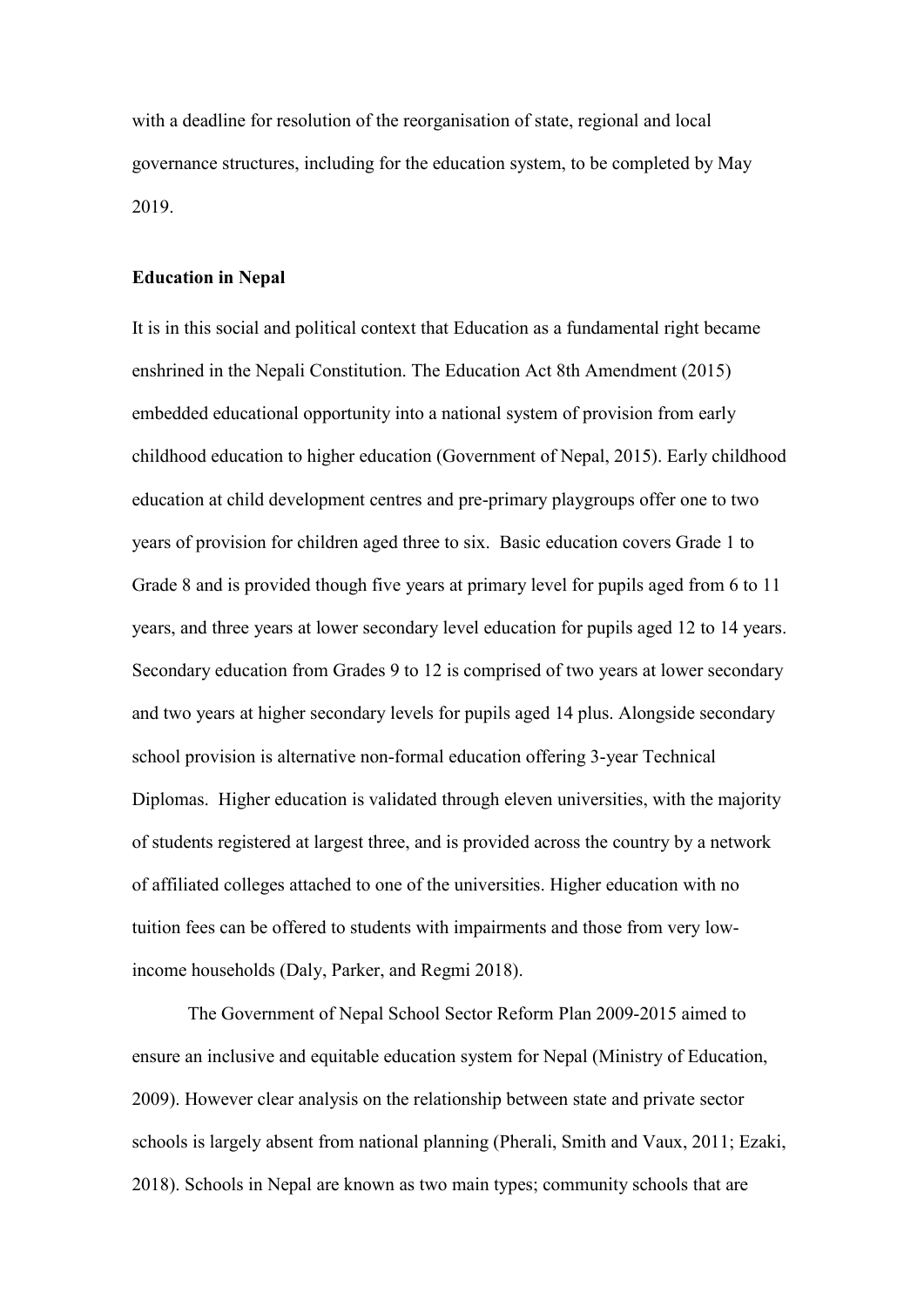with a deadline for resolution of the reorganisation of state, regional and local governance structures, including for the education system, to be completed by May 2019.

#### **Education in Nepal**

It is in this social and political context that Education as a fundamental right became enshrined in the Nepali Constitution. The Education Act 8th Amendment (2015) embedded educational opportunity into a national system of provision from early childhood education to higher education (Government of Nepal, 2015). Early childhood education at child development centres and pre-primary playgroups offer one to two years of provision for children aged three to six. Basic education covers Grade 1 to Grade 8 and is provided though five years at primary level for pupils aged from 6 to 11 years, and three years at lower secondary level education for pupils aged 12 to 14 years. Secondary education from Grades 9 to 12 is comprised of two years at lower secondary and two years at higher secondary levels for pupils aged 14 plus. Alongside secondary school provision is alternative non-formal education offering 3-year Technical Diplomas. Higher education is validated through eleven universities, with the majority of students registered at largest three, and is provided across the country by a network of affiliated colleges attached to one of the universities. Higher education with no tuition fees can be offered to students with impairments and those from very lowincome households (Daly, Parker, and Regmi 2018).

The Government of Nepal School Sector Reform Plan 2009-2015 aimed to ensure an inclusive and equitable education system for Nepal (Ministry of Education, 2009). However clear analysis on the relationship between state and private sector schools is largely absent from national planning (Pherali, Smith and Vaux, 2011; Ezaki, 2018). Schools in Nepal are known as two main types; community schools that are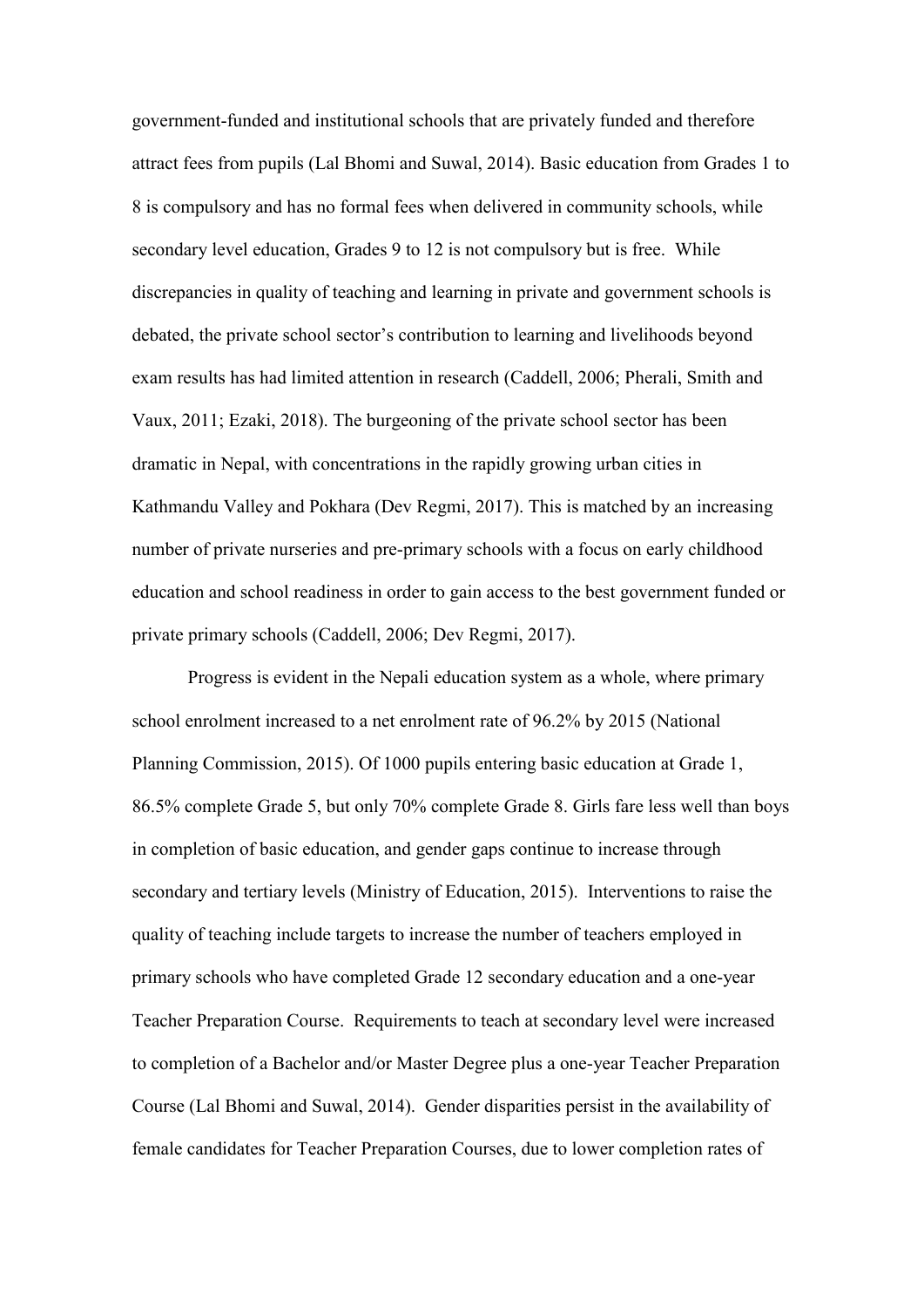government-funded and institutional schools that are privately funded and therefore attract fees from pupils (Lal Bhomi and Suwal, 2014). Basic education from Grades 1 to 8 is compulsory and has no formal fees when delivered in community schools, while secondary level education, Grades 9 to 12 is not compulsory but is free. While discrepancies in quality of teaching and learning in private and government schools is debated, the private school sector's contribution to learning and livelihoods beyond exam results has had limited attention in research (Caddell, 2006; Pherali, Smith and Vaux, 2011; Ezaki, 2018). The burgeoning of the private school sector has been dramatic in Nepal, with concentrations in the rapidly growing urban cities in Kathmandu Valley and Pokhara (Dev Regmi, 2017). This is matched by an increasing number of private nurseries and pre-primary schools with a focus on early childhood education and school readiness in order to gain access to the best government funded or private primary schools (Caddell, 2006; Dev Regmi, 2017).

Progress is evident in the Nepali education system as a whole, where primary school enrolment increased to a net enrolment rate of 96.2% by 2015 (National Planning Commission, 2015). Of 1000 pupils entering basic education at Grade 1, 86.5% complete Grade 5, but only 70% complete Grade 8. Girls fare less well than boys in completion of basic education, and gender gaps continue to increase through secondary and tertiary levels (Ministry of Education, 2015). Interventions to raise the quality of teaching include targets to increase the number of teachers employed in primary schools who have completed Grade 12 secondary education and a one-year Teacher Preparation Course. Requirements to teach at secondary level were increased to completion of a Bachelor and/or Master Degree plus a one-year Teacher Preparation Course (Lal Bhomi and Suwal, 2014). Gender disparities persist in the availability of female candidates for Teacher Preparation Courses, due to lower completion rates of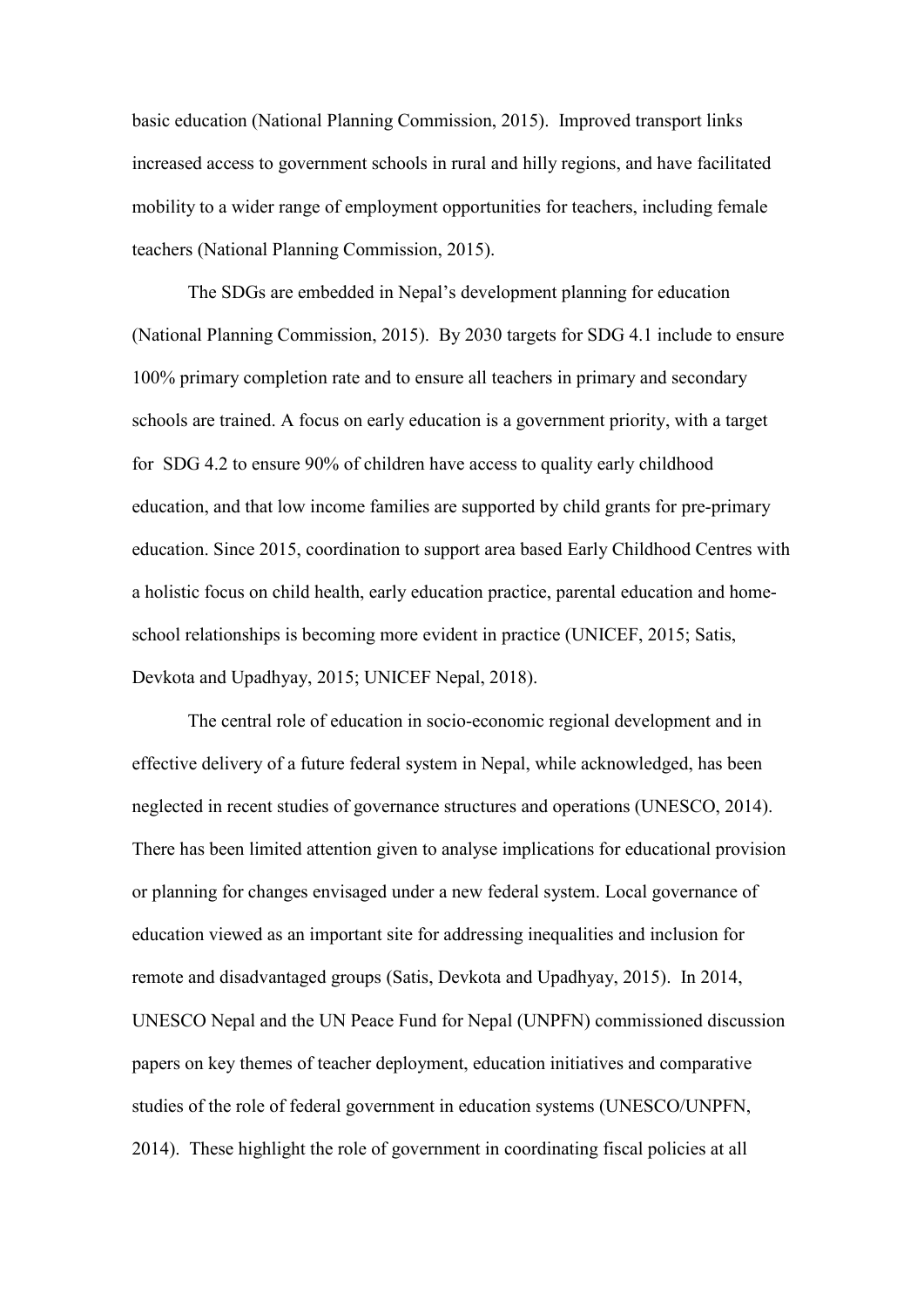basic education (National Planning Commission, 2015). Improved transport links increased access to government schools in rural and hilly regions, and have facilitated mobility to a wider range of employment opportunities for teachers, including female teachers (National Planning Commission, 2015).

The SDGs are embedded in Nepal's development planning for education (National Planning Commission, 2015). By 2030 targets for SDG 4.1 include to ensure 100% primary completion rate and to ensure all teachers in primary and secondary schools are trained. A focus on early education is a government priority, with a target for SDG 4.2 to ensure 90% of children have access to quality early childhood education, and that low income families are supported by child grants for pre-primary education. Since 2015, coordination to support area based Early Childhood Centres with a holistic focus on child health, early education practice, parental education and homeschool relationships is becoming more evident in practice (UNICEF, 2015; Satis, Devkota and Upadhyay, 2015; UNICEF Nepal, 2018).

The central role of education in socio-economic regional development and in effective delivery of a future federal system in Nepal, while acknowledged, has been neglected in recent studies of governance structures and operations (UNESCO, 2014). There has been limited attention given to analyse implications for educational provision or planning for changes envisaged under a new federal system. Local governance of education viewed as an important site for addressing inequalities and inclusion for remote and disadvantaged groups (Satis, Devkota and Upadhyay, 2015). In 2014, UNESCO Nepal and the UN Peace Fund for Nepal (UNPFN) commissioned discussion papers on key themes of teacher deployment, education initiatives and comparative studies of the role of federal government in education systems (UNESCO/UNPFN, 2014). These highlight the role of government in coordinating fiscal policies at all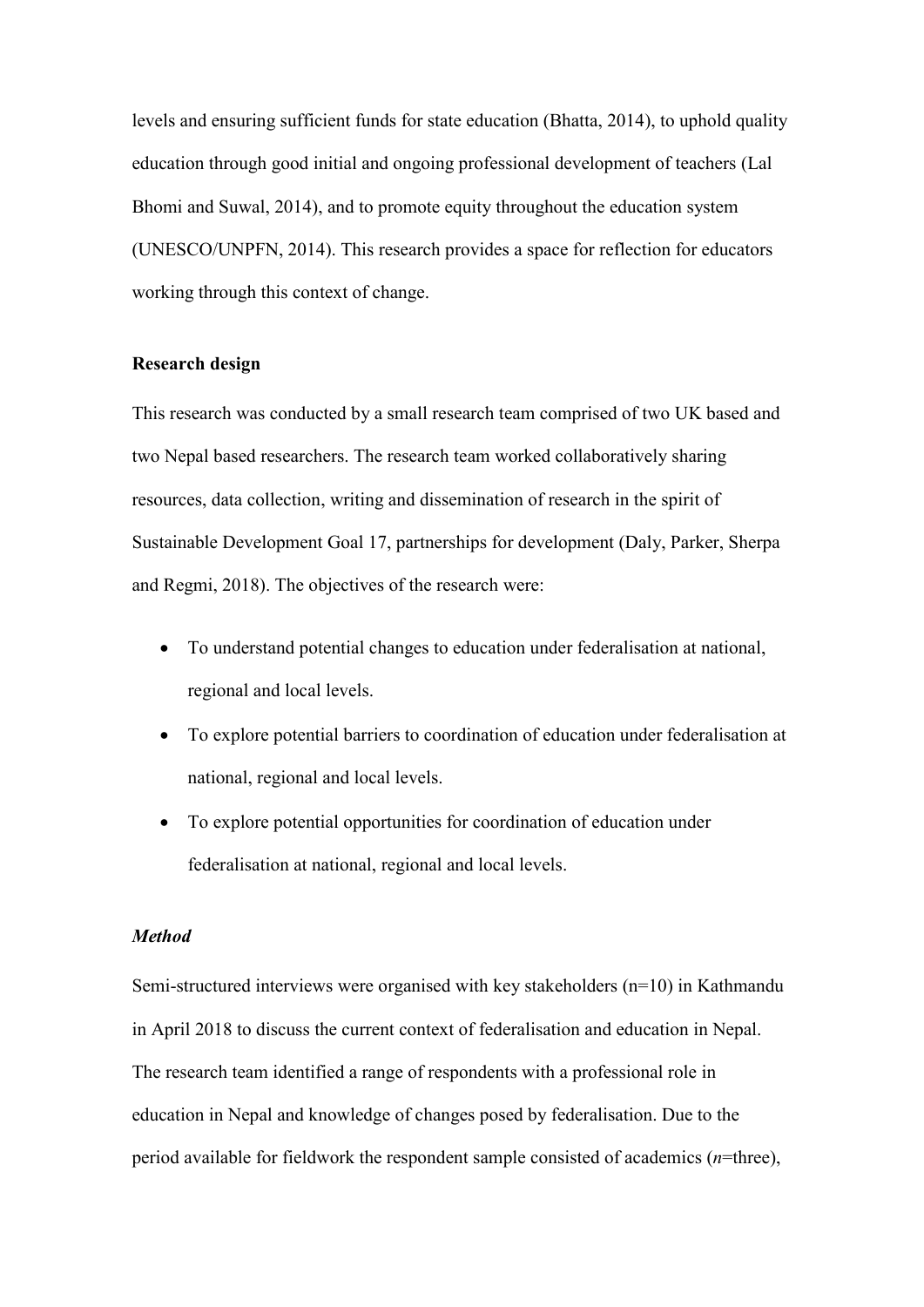levels and ensuring sufficient funds for state education (Bhatta, 2014), to uphold quality education through good initial and ongoing professional development of teachers (Lal Bhomi and Suwal, 2014), and to promote equity throughout the education system (UNESCO/UNPFN, 2014). This research provides a space for reflection for educators working through this context of change.

#### **Research design**

This research was conducted by a small research team comprised of two UK based and two Nepal based researchers. The research team worked collaboratively sharing resources, data collection, writing and dissemination of research in the spirit of Sustainable Development Goal 17, partnerships for development (Daly, Parker, Sherpa and Regmi, 2018). The objectives of the research were:

- To understand potential changes to education under federalisation at national, regional and local levels.
- To explore potential barriers to coordination of education under federalisation at national, regional and local levels.
- To explore potential opportunities for coordination of education under federalisation at national, regional and local levels.

#### *Method*

Semi-structured interviews were organised with key stakeholders (n=10) in Kathmandu in April 2018 to discuss the current context of federalisation and education in Nepal. The research team identified a range of respondents with a professional role in education in Nepal and knowledge of changes posed by federalisation. Due to the period available for fieldwork the respondent sample consisted of academics (*n*=three),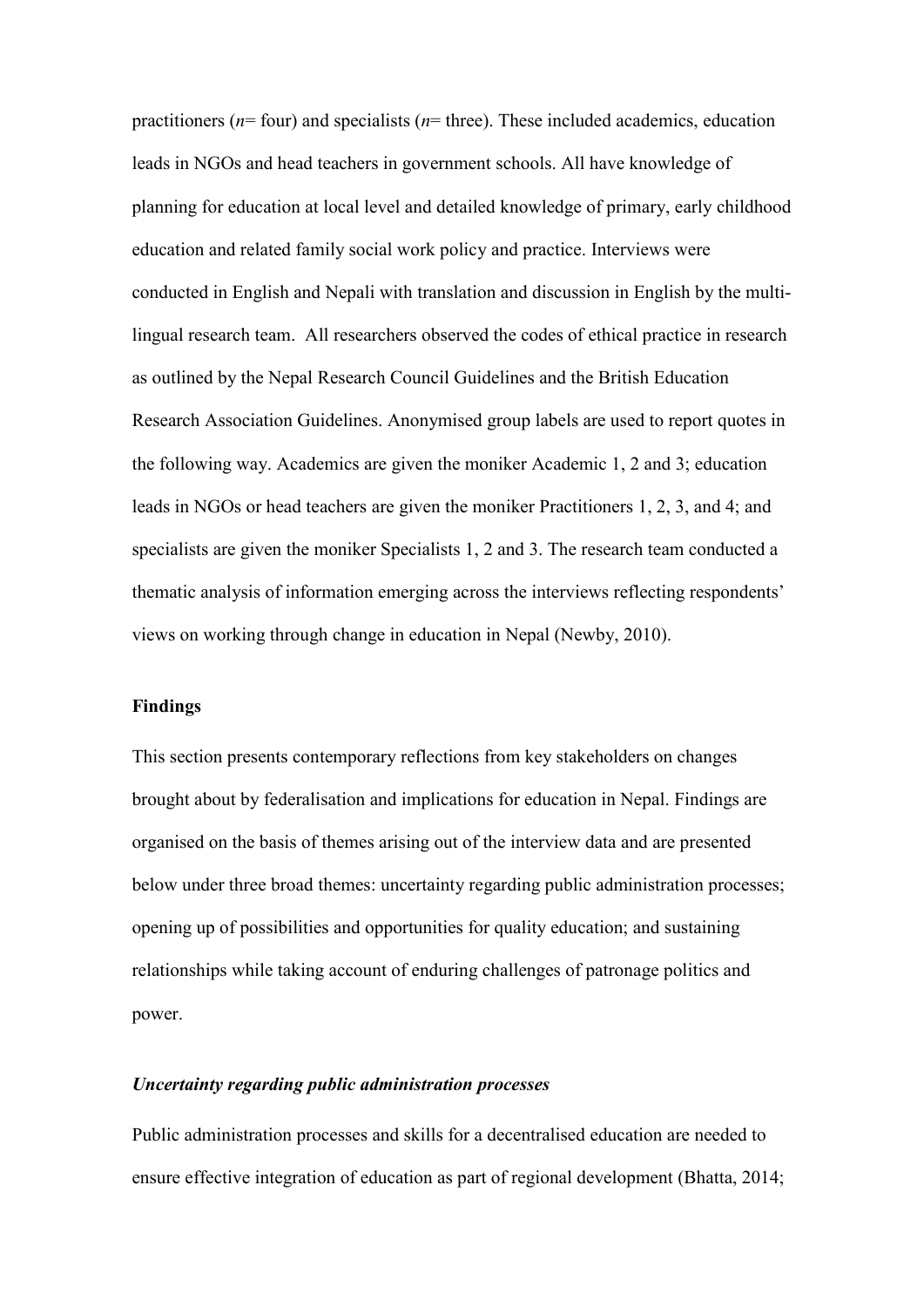practitioners (*n*= four) and specialists (*n*= three). These included academics, education leads in NGOs and head teachers in government schools. All have knowledge of planning for education at local level and detailed knowledge of primary, early childhood education and related family social work policy and practice. Interviews were conducted in English and Nepali with translation and discussion in English by the multilingual research team. All researchers observed the codes of ethical practice in research as outlined by the Nepal Research Council Guidelines and the British Education Research Association Guidelines. Anonymised group labels are used to report quotes in the following way. Academics are given the moniker Academic 1, 2 and 3; education leads in NGOs or head teachers are given the moniker Practitioners 1, 2, 3, and 4; and specialists are given the moniker Specialists 1, 2 and 3. The research team conducted a thematic analysis of information emerging across the interviews reflecting respondents' views on working through change in education in Nepal (Newby, 2010).

#### **Findings**

This section presents contemporary reflections from key stakeholders on changes brought about by federalisation and implications for education in Nepal. Findings are organised on the basis of themes arising out of the interview data and are presented below under three broad themes: uncertainty regarding public administration processes; opening up of possibilities and opportunities for quality education; and sustaining relationships while taking account of enduring challenges of patronage politics and power.

#### *Uncertainty regarding public administration processes*

Public administration processes and skills for a decentralised education are needed to ensure effective integration of education as part of regional development (Bhatta, 2014;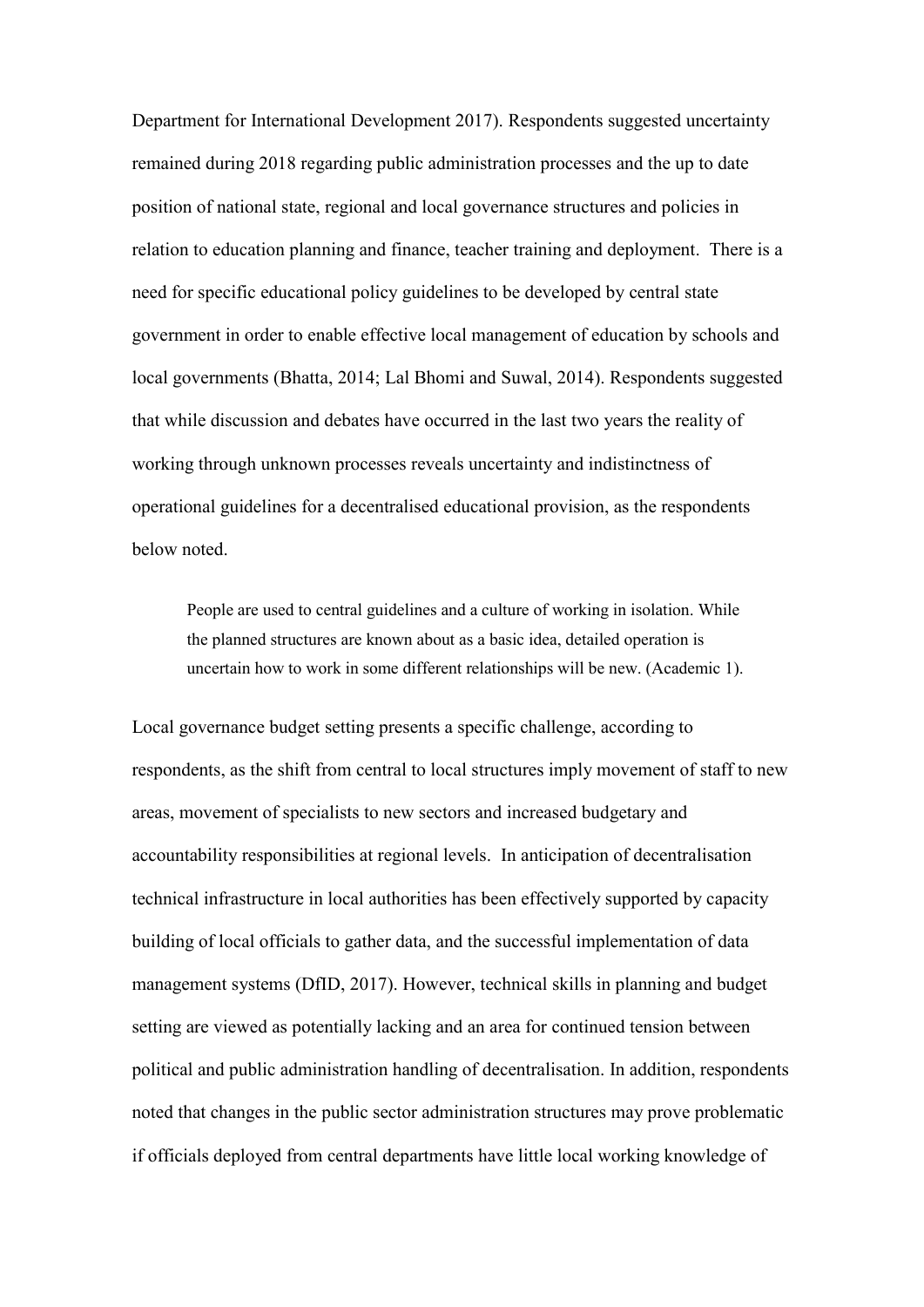Department for International Development 2017). Respondents suggested uncertainty remained during 2018 regarding public administration processes and the up to date position of national state, regional and local governance structures and policies in relation to education planning and finance, teacher training and deployment. There is a need for specific educational policy guidelines to be developed by central state government in order to enable effective local management of education by schools and local governments (Bhatta, 2014; Lal Bhomi and Suwal, 2014). Respondents suggested that while discussion and debates have occurred in the last two years the reality of working through unknown processes reveals uncertainty and indistinctness of operational guidelines for a decentralised educational provision, as the respondents below noted.

People are used to central guidelines and a culture of working in isolation. While the planned structures are known about as a basic idea, detailed operation is uncertain how to work in some different relationships will be new. (Academic 1).

Local governance budget setting presents a specific challenge, according to respondents, as the shift from central to local structures imply movement of staff to new areas, movement of specialists to new sectors and increased budgetary and accountability responsibilities at regional levels. In anticipation of decentralisation technical infrastructure in local authorities has been effectively supported by capacity building of local officials to gather data, and the successful implementation of data management systems (DfID, 2017). However, technical skills in planning and budget setting are viewed as potentially lacking and an area for continued tension between political and public administration handling of decentralisation. In addition, respondents noted that changes in the public sector administration structures may prove problematic if officials deployed from central departments have little local working knowledge of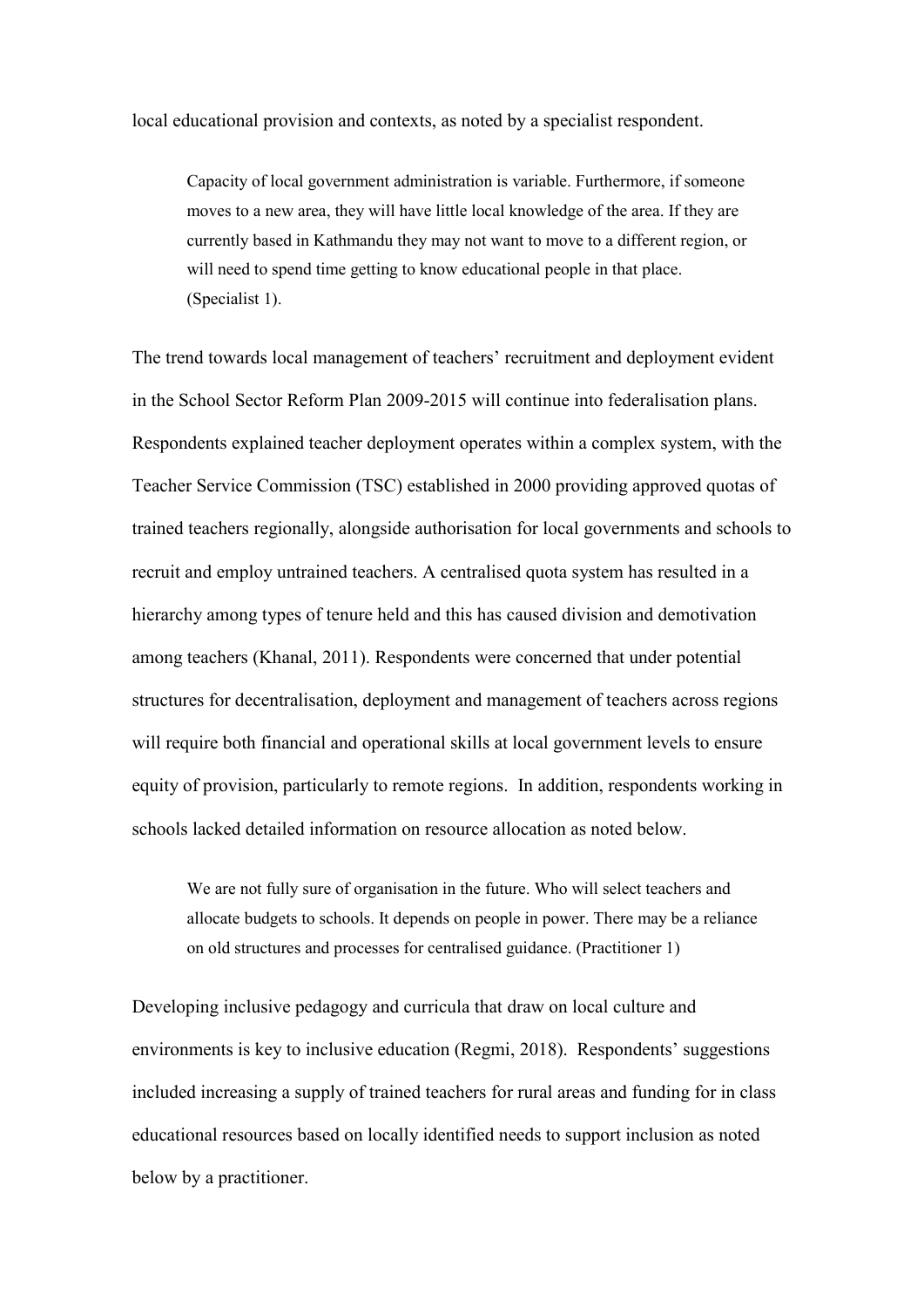local educational provision and contexts, as noted by a specialist respondent.

Capacity of local government administration is variable. Furthermore, if someone moves to a new area, they will have little local knowledge of the area. If they are currently based in Kathmandu they may not want to move to a different region, or will need to spend time getting to know educational people in that place. (Specialist 1).

The trend towards local management of teachers' recruitment and deployment evident in the School Sector Reform Plan 2009-2015 will continue into federalisation plans. Respondents explained teacher deployment operates within a complex system, with the Teacher Service Commission (TSC) established in 2000 providing approved quotas of trained teachers regionally, alongside authorisation for local governments and schools to recruit and employ untrained teachers. A centralised quota system has resulted in a hierarchy among types of tenure held and this has caused division and demotivation among teachers (Khanal, 2011). Respondents were concerned that under potential structures for decentralisation, deployment and management of teachers across regions will require both financial and operational skills at local government levels to ensure equity of provision, particularly to remote regions. In addition, respondents working in schools lacked detailed information on resource allocation as noted below.

We are not fully sure of organisation in the future. Who will select teachers and allocate budgets to schools. It depends on people in power. There may be a reliance on old structures and processes for centralised guidance. (Practitioner 1)

Developing inclusive pedagogy and curricula that draw on local culture and environments is key to inclusive education (Regmi, 2018). Respondents' suggestions included increasing a supply of trained teachers for rural areas and funding for in class educational resources based on locally identified needs to support inclusion as noted below by a practitioner.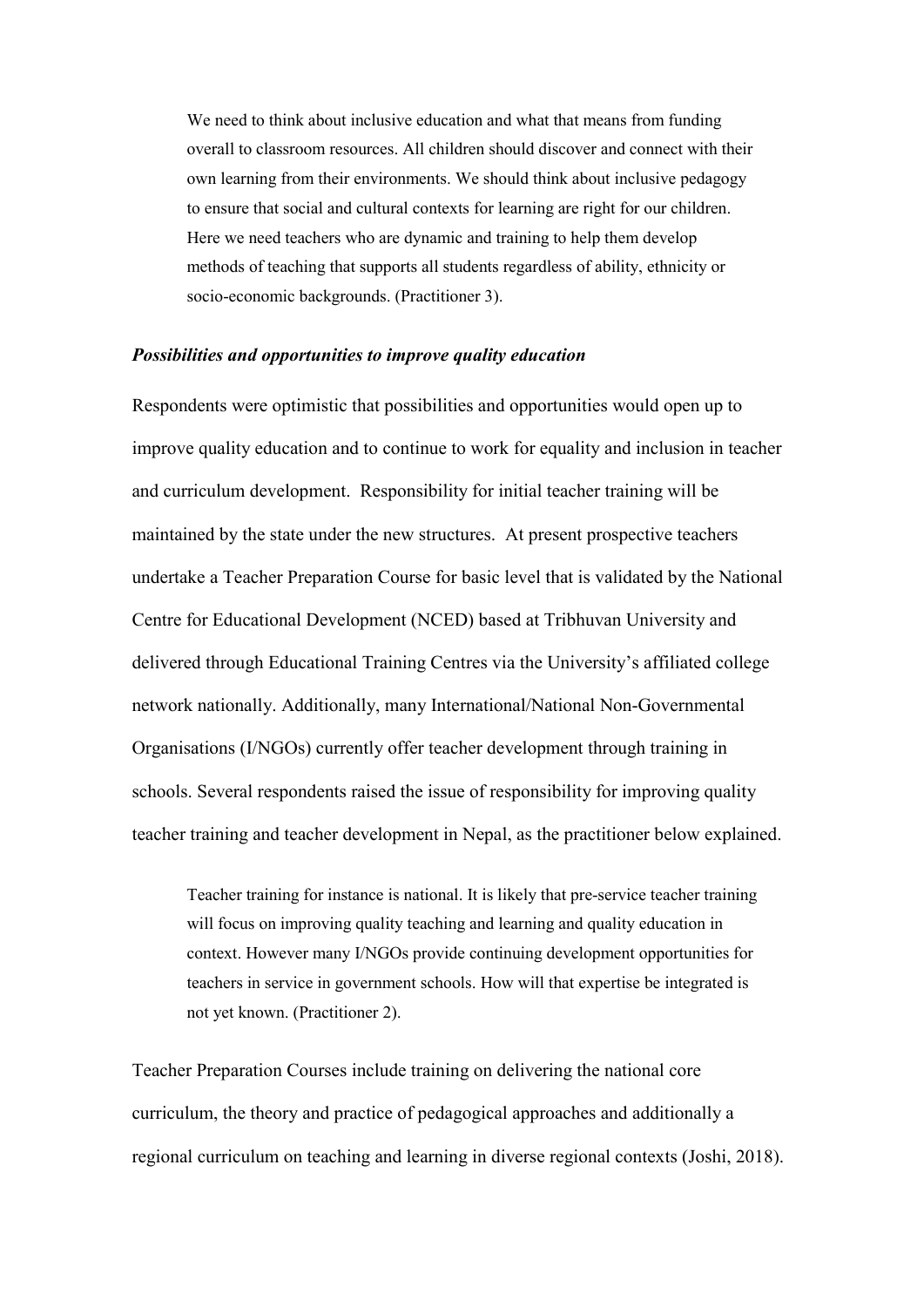We need to think about inclusive education and what that means from funding overall to classroom resources. All children should discover and connect with their own learning from their environments. We should think about inclusive pedagogy to ensure that social and cultural contexts for learning are right for our children. Here we need teachers who are dynamic and training to help them develop methods of teaching that supports all students regardless of ability, ethnicity or socio-economic backgrounds. (Practitioner 3).

#### *Possibilities and opportunities to improve quality education*

Respondents were optimistic that possibilities and opportunities would open up to improve quality education and to continue to work for equality and inclusion in teacher and curriculum development. Responsibility for initial teacher training will be maintained by the state under the new structures. At present prospective teachers undertake a Teacher Preparation Course for basic level that is validated by the National Centre for Educational Development (NCED) based at Tribhuvan University and delivered through Educational Training Centres via the University's affiliated college network nationally. Additionally, many International/National Non-Governmental Organisations (I/NGOs) currently offer teacher development through training in schools. Several respondents raised the issue of responsibility for improving quality teacher training and teacher development in Nepal, as the practitioner below explained.

Teacher training for instance is national. It is likely that pre-service teacher training will focus on improving quality teaching and learning and quality education in context. However many I/NGOs provide continuing development opportunities for teachers in service in government schools. How will that expertise be integrated is not yet known. (Practitioner 2).

Teacher Preparation Courses include training on delivering the national core curriculum, the theory and practice of pedagogical approaches and additionally a regional curriculum on teaching and learning in diverse regional contexts (Joshi, 2018).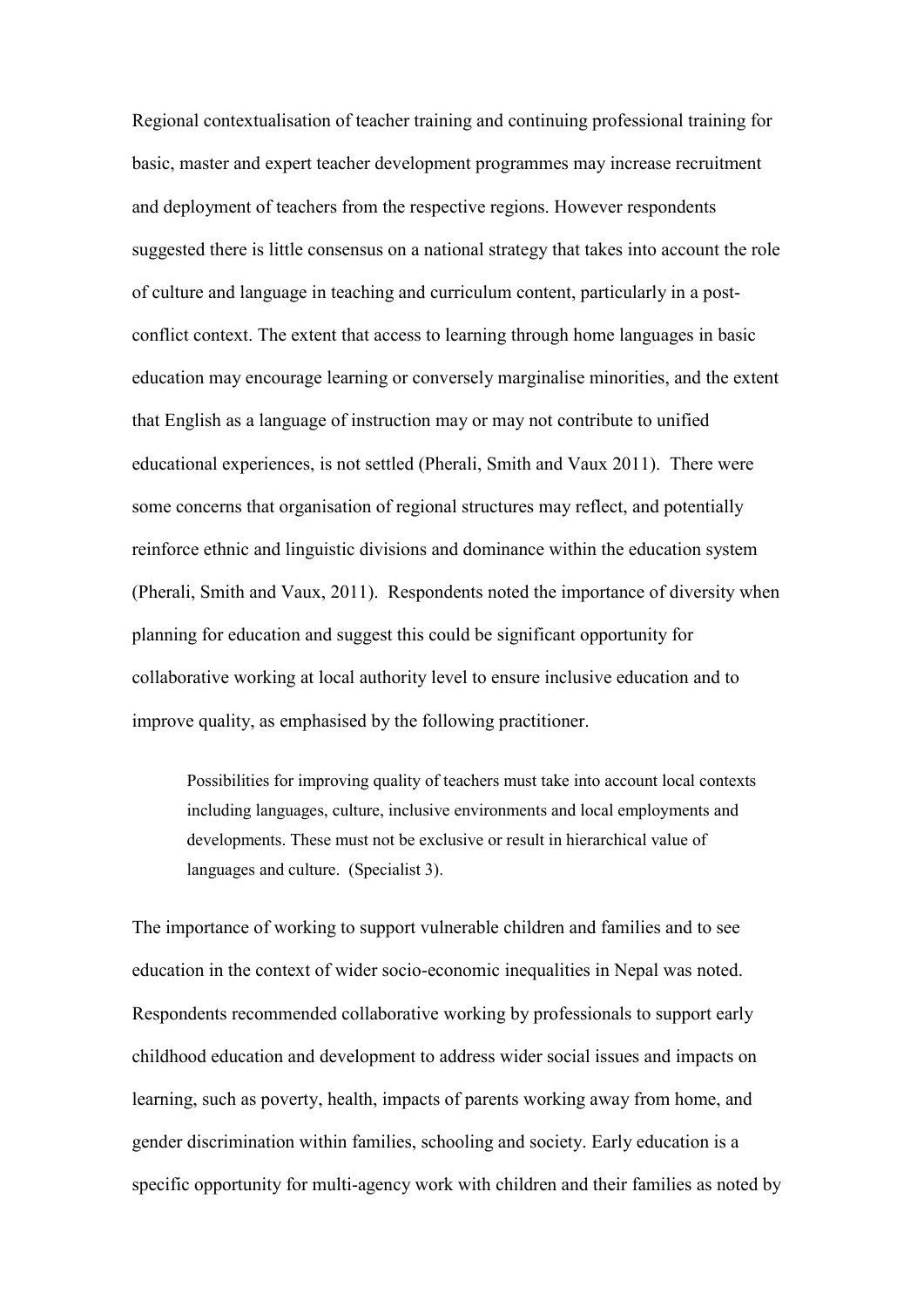Regional contextualisation of teacher training and continuing professional training for basic, master and expert teacher development programmes may increase recruitment and deployment of teachers from the respective regions. However respondents suggested there is little consensus on a national strategy that takes into account the role of culture and language in teaching and curriculum content, particularly in a postconflict context. The extent that access to learning through home languages in basic education may encourage learning or conversely marginalise minorities, and the extent that English as a language of instruction may or may not contribute to unified educational experiences, is not settled (Pherali, Smith and Vaux 2011). There were some concerns that organisation of regional structures may reflect, and potentially reinforce ethnic and linguistic divisions and dominance within the education system (Pherali, Smith and Vaux, 2011). Respondents noted the importance of diversity when planning for education and suggest this could be significant opportunity for collaborative working at local authority level to ensure inclusive education and to improve quality, as emphasised by the following practitioner.

Possibilities for improving quality of teachers must take into account local contexts including languages, culture, inclusive environments and local employments and developments. These must not be exclusive or result in hierarchical value of languages and culture. (Specialist 3).

The importance of working to support vulnerable children and families and to see education in the context of wider socio-economic inequalities in Nepal was noted. Respondents recommended collaborative working by professionals to support early childhood education and development to address wider social issues and impacts on learning, such as poverty, health, impacts of parents working away from home, and gender discrimination within families, schooling and society. Early education is a specific opportunity for multi-agency work with children and their families as noted by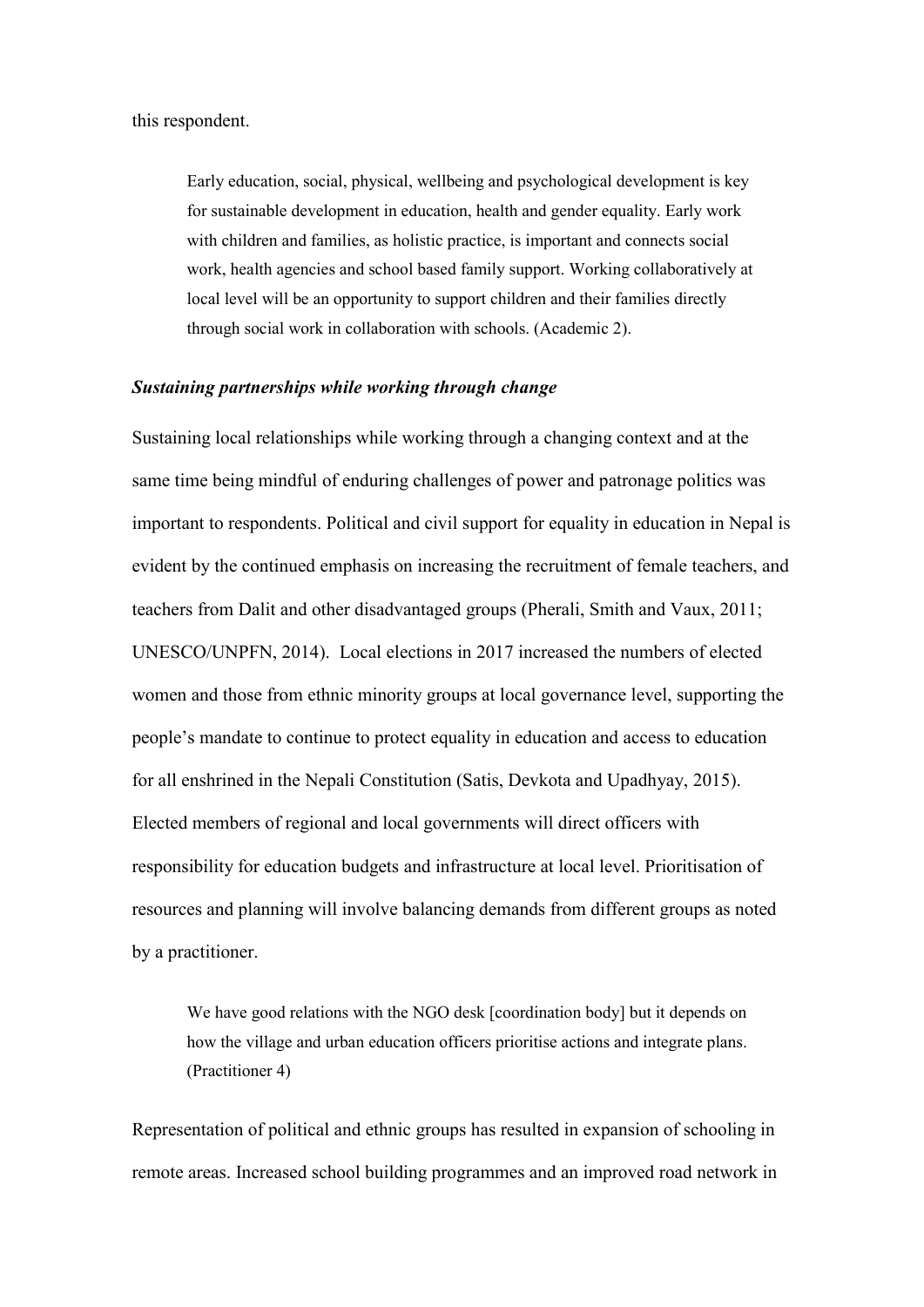Early education, social, physical, wellbeing and psychological development is key for sustainable development in education, health and gender equality. Early work with children and families, as holistic practice, is important and connects social work, health agencies and school based family support. Working collaboratively at local level will be an opportunity to support children and their families directly through social work in collaboration with schools. (Academic 2).

#### *Sustaining partnerships while working through change*

Sustaining local relationships while working through a changing context and at the same time being mindful of enduring challenges of power and patronage politics was important to respondents. Political and civil support for equality in education in Nepal is evident by the continued emphasis on increasing the recruitment of female teachers, and teachers from Dalit and other disadvantaged groups (Pherali, Smith and Vaux, 2011; UNESCO/UNPFN, 2014). Local elections in 2017 increased the numbers of elected women and those from ethnic minority groups at local governance level, supporting the people's mandate to continue to protect equality in education and access to education for all enshrined in the Nepali Constitution (Satis, Devkota and Upadhyay, 2015). Elected members of regional and local governments will direct officers with responsibility for education budgets and infrastructure at local level. Prioritisation of resources and planning will involve balancing demands from different groups as noted by a practitioner.

We have good relations with the NGO desk [coordination body] but it depends on how the village and urban education officers prioritise actions and integrate plans. (Practitioner 4)

Representation of political and ethnic groups has resulted in expansion of schooling in remote areas. Increased school building programmes and an improved road network in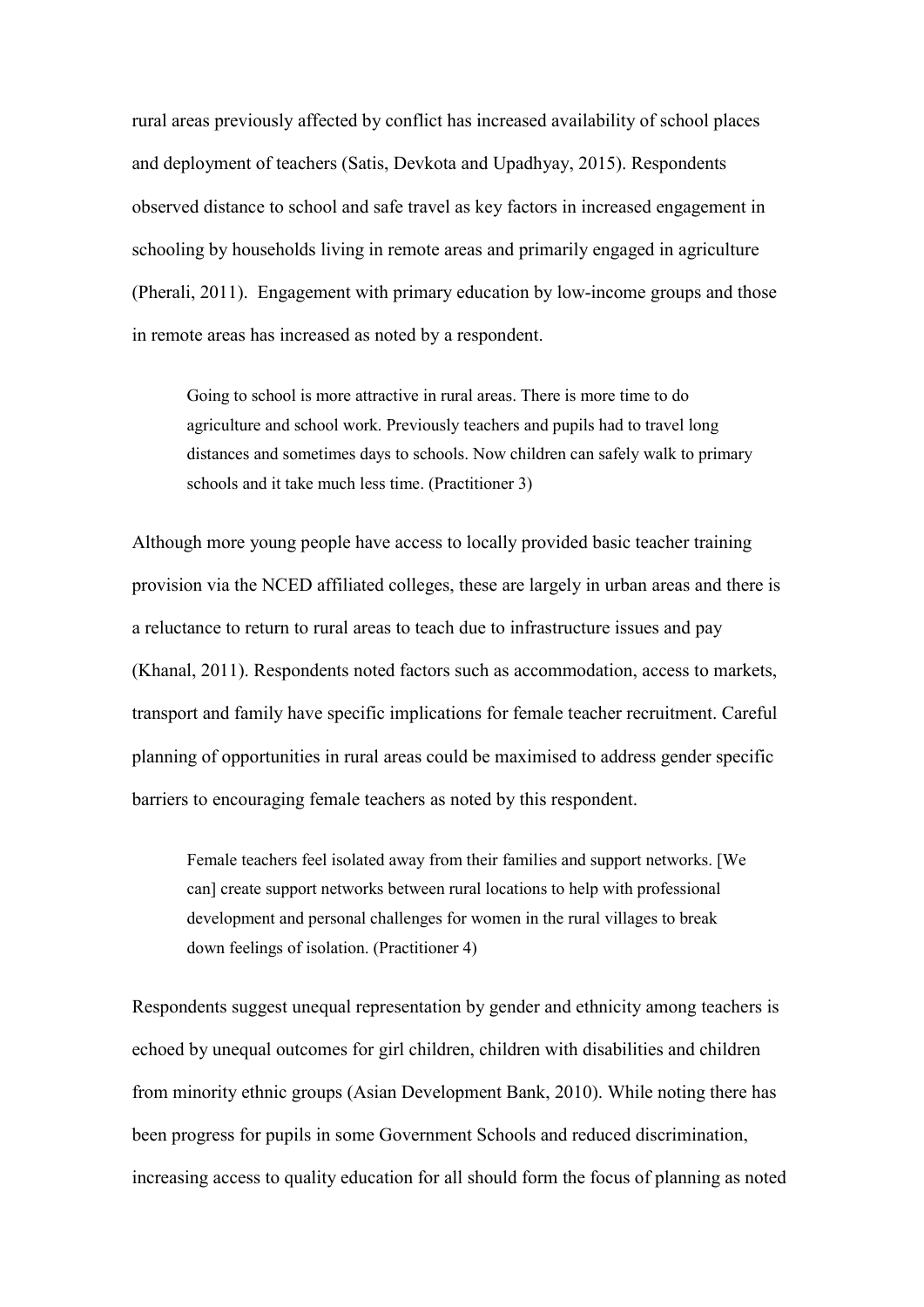rural areas previously affected by conflict has increased availability of school places and deployment of teachers (Satis, Devkota and Upadhyay, 2015). Respondents observed distance to school and safe travel as key factors in increased engagement in schooling by households living in remote areas and primarily engaged in agriculture (Pherali, 2011). Engagement with primary education by low-income groups and those in remote areas has increased as noted by a respondent.

Going to school is more attractive in rural areas. There is more time to do agriculture and school work. Previously teachers and pupils had to travel long distances and sometimes days to schools. Now children can safely walk to primary schools and it take much less time. (Practitioner 3)

Although more young people have access to locally provided basic teacher training provision via the NCED affiliated colleges, these are largely in urban areas and there is a reluctance to return to rural areas to teach due to infrastructure issues and pay (Khanal, 2011). Respondents noted factors such as accommodation, access to markets, transport and family have specific implications for female teacher recruitment. Careful planning of opportunities in rural areas could be maximised to address gender specific barriers to encouraging female teachers as noted by this respondent.

Female teachers feel isolated away from their families and support networks. [We can] create support networks between rural locations to help with professional development and personal challenges for women in the rural villages to break down feelings of isolation. (Practitioner 4)

Respondents suggest unequal representation by gender and ethnicity among teachers is echoed by unequal outcomes for girl children, children with disabilities and children from minority ethnic groups (Asian Development Bank, 2010). While noting there has been progress for pupils in some Government Schools and reduced discrimination, increasing access to quality education for all should form the focus of planning as noted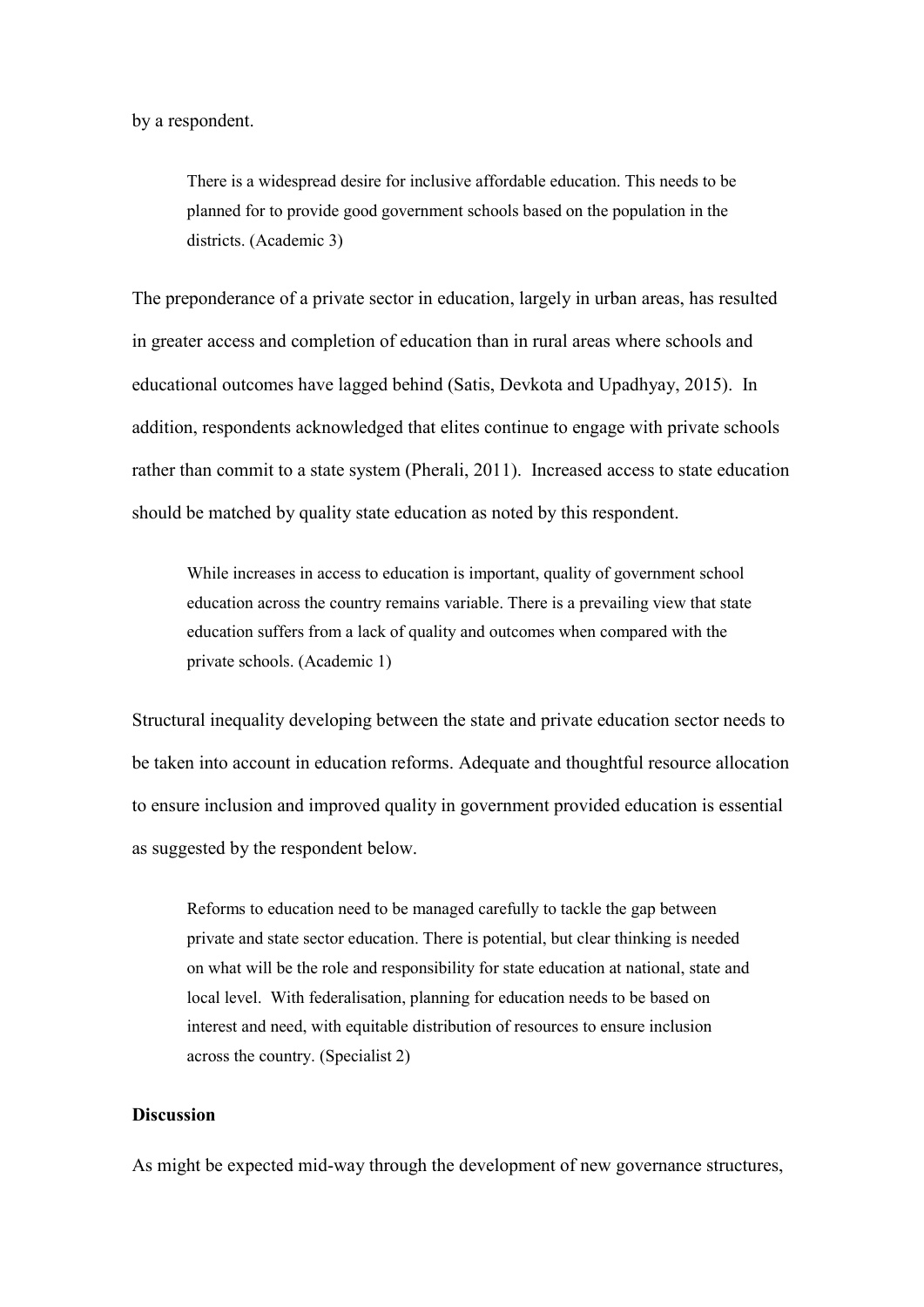by a respondent.

There is a widespread desire for inclusive affordable education. This needs to be planned for to provide good government schools based on the population in the districts. (Academic 3)

The preponderance of a private sector in education, largely in urban areas, has resulted in greater access and completion of education than in rural areas where schools and educational outcomes have lagged behind (Satis, Devkota and Upadhyay, 2015). In addition, respondents acknowledged that elites continue to engage with private schools rather than commit to a state system (Pherali, 2011). Increased access to state education should be matched by quality state education as noted by this respondent.

While increases in access to education is important, quality of government school education across the country remains variable. There is a prevailing view that state education suffers from a lack of quality and outcomes when compared with the private schools. (Academic 1)

Structural inequality developing between the state and private education sector needs to be taken into account in education reforms. Adequate and thoughtful resource allocation to ensure inclusion and improved quality in government provided education is essential as suggested by the respondent below.

Reforms to education need to be managed carefully to tackle the gap between private and state sector education. There is potential, but clear thinking is needed on what will be the role and responsibility for state education at national, state and local level. With federalisation, planning for education needs to be based on interest and need, with equitable distribution of resources to ensure inclusion across the country. (Specialist 2)

#### **Discussion**

As might be expected mid-way through the development of new governance structures,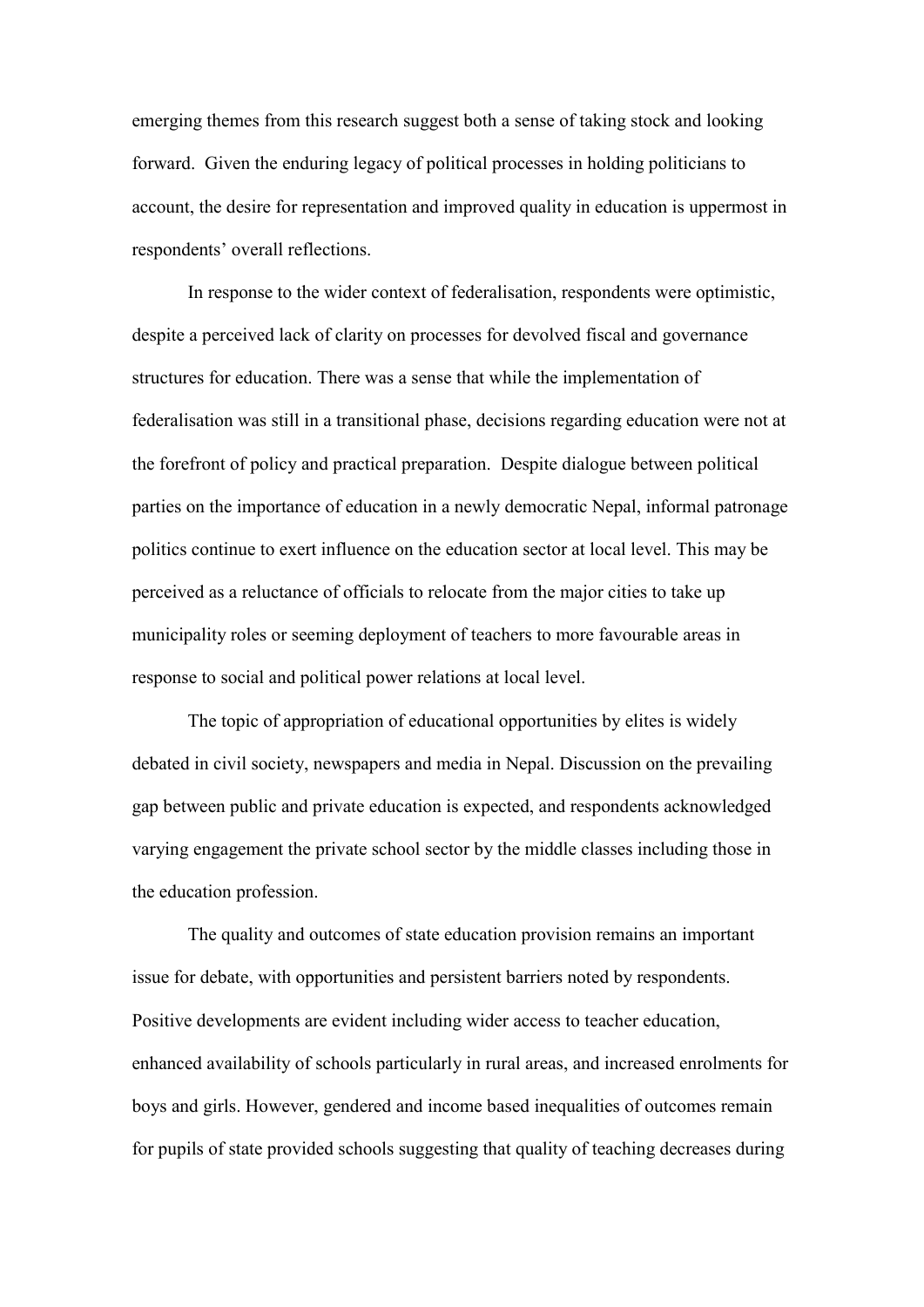emerging themes from this research suggest both a sense of taking stock and looking forward. Given the enduring legacy of political processes in holding politicians to account, the desire for representation and improved quality in education is uppermost in respondents' overall reflections.

In response to the wider context of federalisation, respondents were optimistic, despite a perceived lack of clarity on processes for devolved fiscal and governance structures for education. There was a sense that while the implementation of federalisation was still in a transitional phase, decisions regarding education were not at the forefront of policy and practical preparation. Despite dialogue between political parties on the importance of education in a newly democratic Nepal, informal patronage politics continue to exert influence on the education sector at local level. This may be perceived as a reluctance of officials to relocate from the major cities to take up municipality roles or seeming deployment of teachers to more favourable areas in response to social and political power relations at local level.

The topic of appropriation of educational opportunities by elites is widely debated in civil society, newspapers and media in Nepal. Discussion on the prevailing gap between public and private education is expected, and respondents acknowledged varying engagement the private school sector by the middle classes including those in the education profession.

The quality and outcomes of state education provision remains an important issue for debate, with opportunities and persistent barriers noted by respondents. Positive developments are evident including wider access to teacher education, enhanced availability of schools particularly in rural areas, and increased enrolments for boys and girls. However, gendered and income based inequalities of outcomes remain for pupils of state provided schools suggesting that quality of teaching decreases during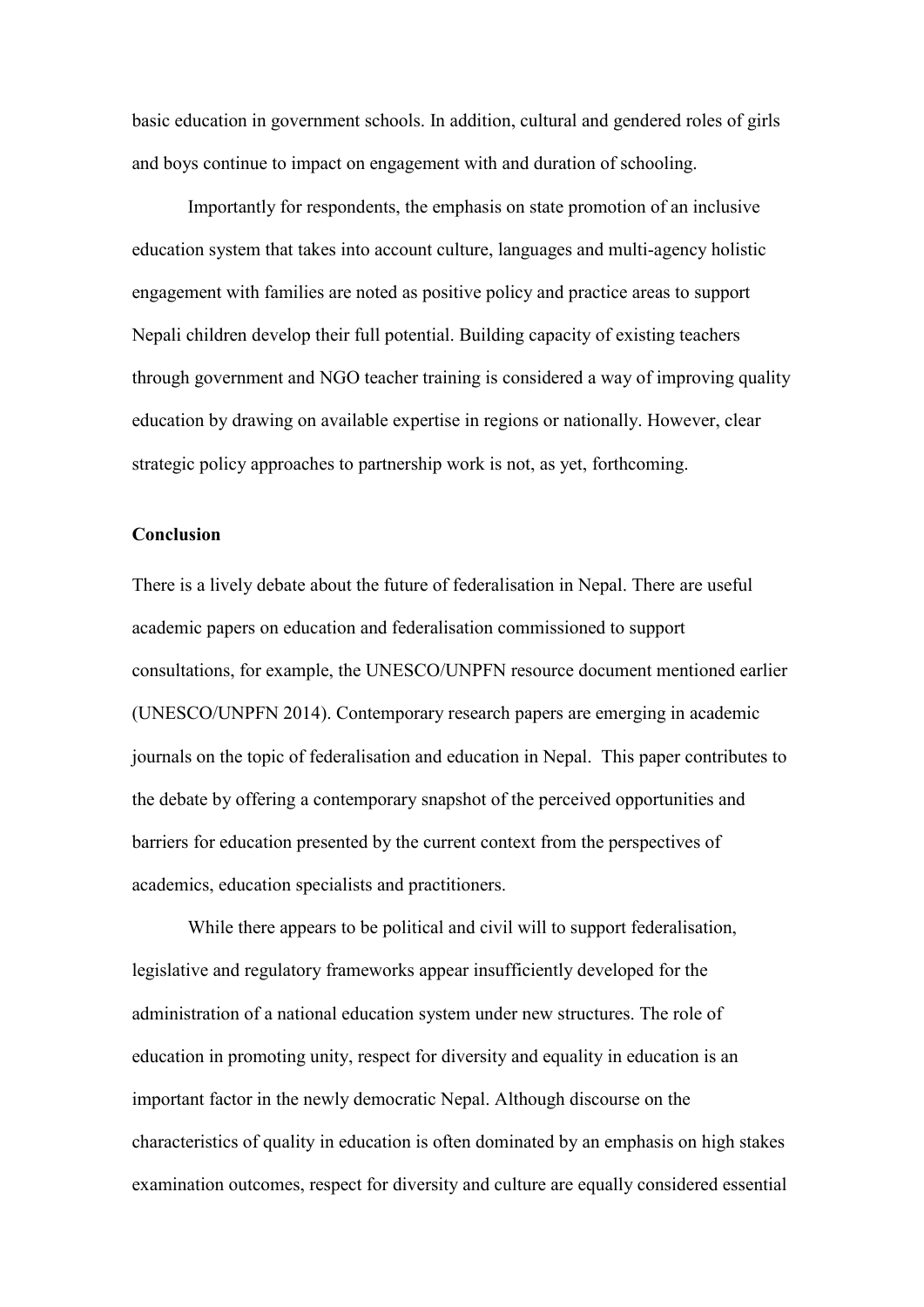basic education in government schools. In addition, cultural and gendered roles of girls and boys continue to impact on engagement with and duration of schooling.

Importantly for respondents, the emphasis on state promotion of an inclusive education system that takes into account culture, languages and multi-agency holistic engagement with families are noted as positive policy and practice areas to support Nepali children develop their full potential. Building capacity of existing teachers through government and NGO teacher training is considered a way of improving quality education by drawing on available expertise in regions or nationally. However, clear strategic policy approaches to partnership work is not, as yet, forthcoming.

#### **Conclusion**

There is a lively debate about the future of federalisation in Nepal. There are useful academic papers on education and federalisation commissioned to support consultations, for example, the UNESCO/UNPFN resource document mentioned earlier (UNESCO/UNPFN 2014). Contemporary research papers are emerging in academic journals on the topic of federalisation and education in Nepal. This paper contributes to the debate by offering a contemporary snapshot of the perceived opportunities and barriers for education presented by the current context from the perspectives of academics, education specialists and practitioners.

While there appears to be political and civil will to support federalisation, legislative and regulatory frameworks appear insufficiently developed for the administration of a national education system under new structures. The role of education in promoting unity, respect for diversity and equality in education is an important factor in the newly democratic Nepal. Although discourse on the characteristics of quality in education is often dominated by an emphasis on high stakes examination outcomes, respect for diversity and culture are equally considered essential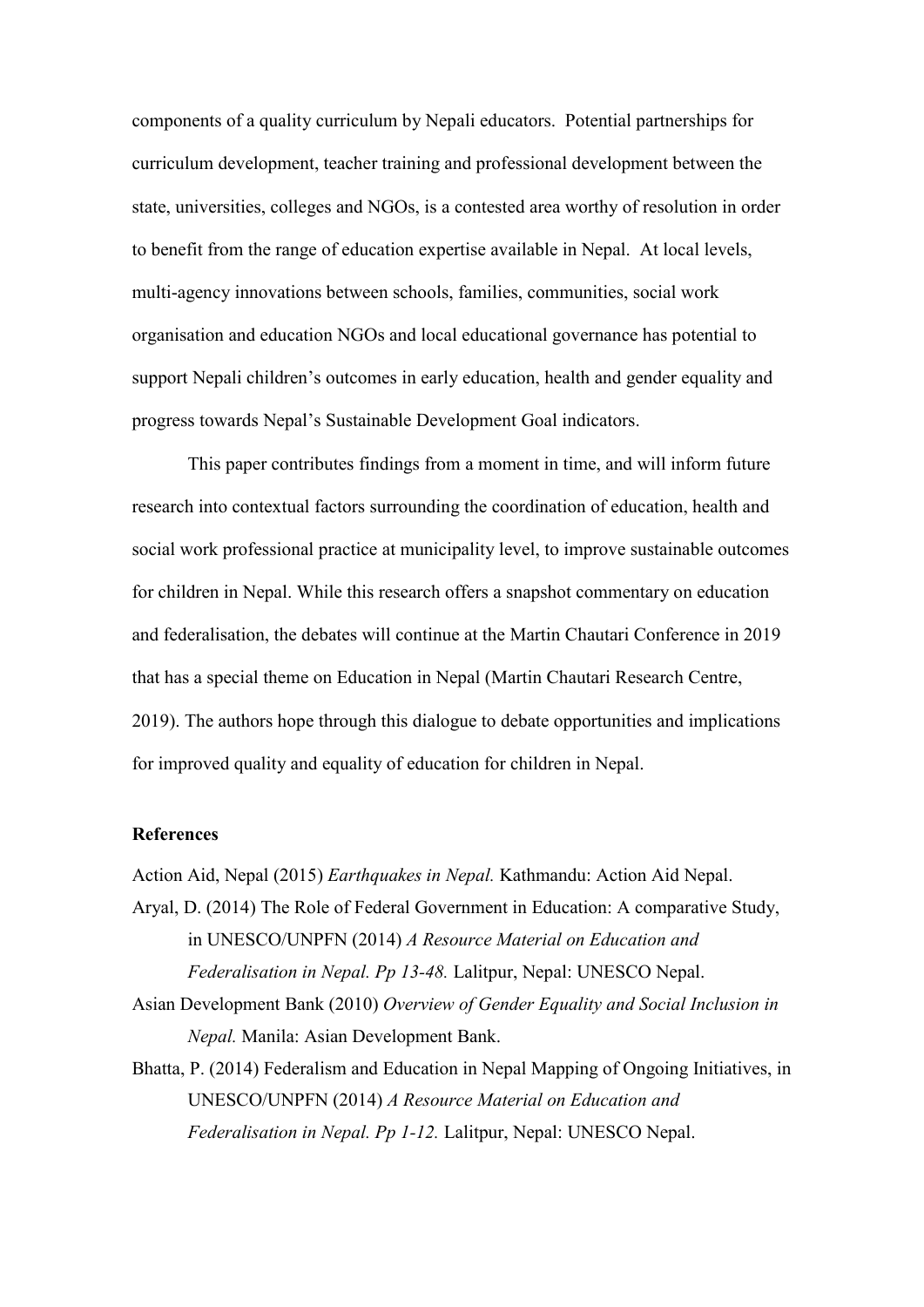components of a quality curriculum by Nepali educators. Potential partnerships for curriculum development, teacher training and professional development between the state, universities, colleges and NGOs, is a contested area worthy of resolution in order to benefit from the range of education expertise available in Nepal. At local levels, multi-agency innovations between schools, families, communities, social work organisation and education NGOs and local educational governance has potential to support Nepali children's outcomes in early education, health and gender equality and progress towards Nepal's Sustainable Development Goal indicators.

This paper contributes findings from a moment in time, and will inform future research into contextual factors surrounding the coordination of education, health and social work professional practice at municipality level, to improve sustainable outcomes for children in Nepal. While this research offers a snapshot commentary on education and federalisation, the debates will continue at the Martin Chautari Conference in 2019 that has a special theme on Education in Nepal (Martin Chautari Research Centre, 2019). The authors hope through this dialogue to debate opportunities and implications for improved quality and equality of education for children in Nepal.

#### **References**

Action Aid, Nepal (2015) *Earthquakes in Nepal.* Kathmandu: Action Aid Nepal.

- Aryal, D. (2014) The Role of Federal Government in Education: A comparative Study, in UNESCO/UNPFN (2014) *A Resource Material on Education and Federalisation in Nepal. Pp 13-48.* Lalitpur, Nepal: UNESCO Nepal.
- Asian Development Bank (2010) *Overview of Gender Equality and Social Inclusion in Nepal.* Manila: Asian Development Bank.
- Bhatta, P. (2014) Federalism and Education in Nepal Mapping of Ongoing Initiatives, in UNESCO/UNPFN (2014) *A Resource Material on Education and Federalisation in Nepal. Pp 1-12.* Lalitpur, Nepal: UNESCO Nepal.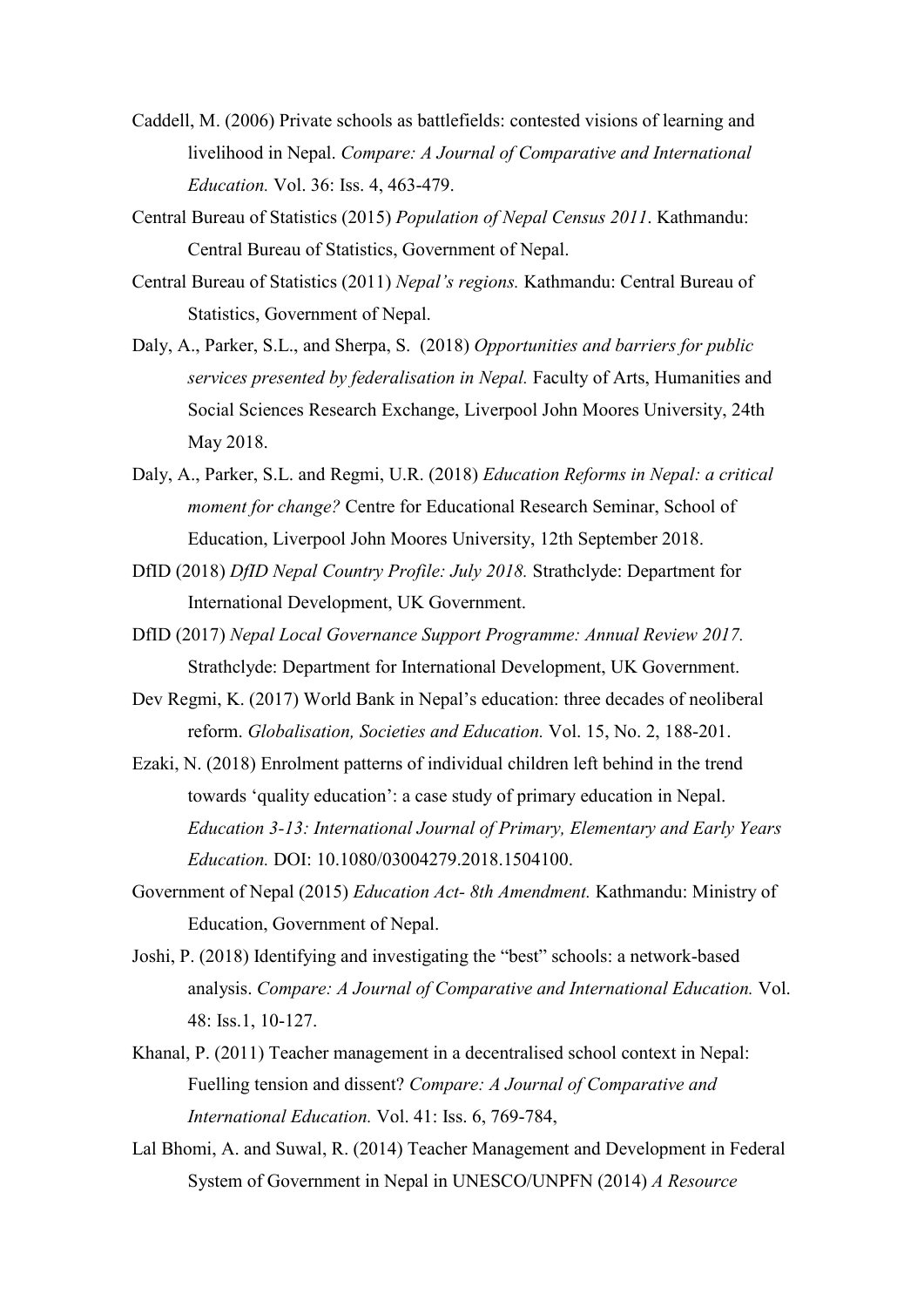- Caddell, M. (2006) Private schools as battlefields: contested visions of learning and livelihood in Nepal. *Compare: A Journal of Comparative and International Education.* Vol. 36: Iss. 4, 463-479.
- Central Bureau of Statistics (2015) *Population of Nepal Census 2011*. Kathmandu: Central Bureau of Statistics, Government of Nepal.
- Central Bureau of Statistics (2011) *Nepal's regions.* Kathmandu: Central Bureau of Statistics, Government of Nepal.
- Daly, A., Parker, S.L., and Sherpa, S. (2018) *Opportunities and barriers for public services presented by federalisation in Nepal.* Faculty of Arts, Humanities and Social Sciences Research Exchange, Liverpool John Moores University, 24th May 2018.
- Daly, A., Parker, S.L. and Regmi, U.R. (2018) *Education Reforms in Nepal: a critical moment for change?* Centre for Educational Research Seminar, School of Education, Liverpool John Moores University, 12th September 2018.
- DfID (2018) *DfID Nepal Country Profile: July 2018.* Strathclyde: Department for International Development, UK Government.
- DfID (2017) *Nepal Local Governance Support Programme: Annual Review 2017.* Strathclyde: Department for International Development, UK Government.
- Dev Regmi, K. (2017) World Bank in Nepal's education: three decades of neoliberal reform. *Globalisation, Societies and Education.* Vol. 15, No. 2, 188-201.
- Ezaki, N. (2018) Enrolment patterns of individual children left behind in the trend towards 'quality education': a case study of primary education in Nepal. *Education 3-13: International Journal of Primary, Elementary and Early Years Education.* DOI: 10.1080/03004279.2018.1504100.
- Government of Nepal (2015) *Education Act- 8th Amendment.* Kathmandu: Ministry of Education, Government of Nepal.
- Joshi, P. (2018) Identifying and investigating the "best" schools: a network-based analysis. *Compare: A Journal of Comparative and International Education.* Vol. 48: Iss.1, 10-127.
- Khanal, P. (2011) Teacher management in a decentralised school context in Nepal: Fuelling tension and dissent? *Compare: A Journal of Comparative and International Education.* Vol. 41: Iss. 6, 769-784,
- Lal Bhomi, A. and Suwal, R. (2014) Teacher Management and Development in Federal System of Government in Nepal in UNESCO/UNPFN (2014) *A Resource*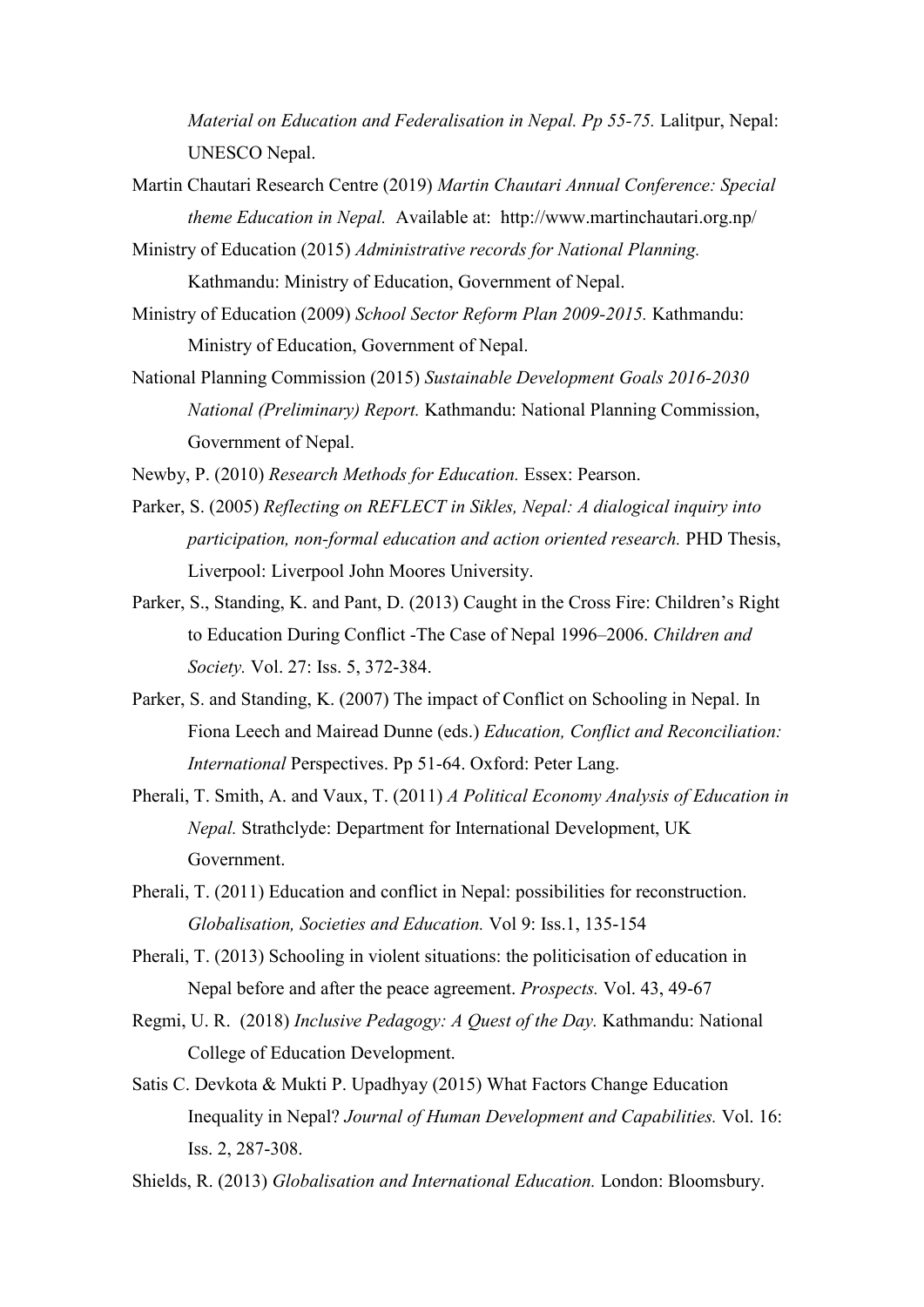*Material on Education and Federalisation in Nepal. Pp 55-75.* Lalitpur, Nepal: UNESCO Nepal.

- Martin Chautari Research Centre (2019) *Martin Chautari Annual Conference: Special theme Education in Nepal.* Available at: http://www.martinchautari.org.np/
- Ministry of Education (2015) *Administrative records for National Planning.* Kathmandu: Ministry of Education, Government of Nepal.
- Ministry of Education (2009) *School Sector Reform Plan 2009-2015.* Kathmandu: Ministry of Education, Government of Nepal.
- National Planning Commission (2015) *Sustainable Development Goals 2016-2030 National (Preliminary) Report.* Kathmandu: National Planning Commission, Government of Nepal.

Newby, P. (2010) *Research Methods for Education.* Essex: Pearson.

- Parker, S. (2005) *Reflecting on REFLECT in Sikles, Nepal: A dialogical inquiry into participation, non-formal education and action oriented research.* PHD Thesis, Liverpool: Liverpool John Moores University.
- Parker, S., Standing, K. and Pant, D. (2013) Caught in the Cross Fire: Children's Right to Education During Conflict -The Case of Nepal 1996–2006. *Children and Society.* Vol. 27: Iss. 5, 372-384.
- Parker, S. and Standing, K. (2007) The impact of Conflict on Schooling in Nepal. In Fiona Leech and Mairead Dunne (eds.) *Education, Conflict and Reconciliation: International* Perspectives. Pp 51-64. Oxford: Peter Lang.
- Pherali, T. Smith, A. and Vaux, T. (2011) *A Political Economy Analysis of Education in Nepal.* Strathclyde: Department for International Development, UK Government.
- Pherali, T. (2011) Education and conflict in Nepal: possibilities for reconstruction. *Globalisation, Societies and Education.* Vol 9: Iss.1, 135-154
- Pherali, T. (2013) Schooling in violent situations: the politicisation of education in Nepal before and after the peace agreement. *Prospects.* Vol. 43, 49-67
- Regmi, U. R. (2018) *Inclusive Pedagogy: A Quest of the Day.* Kathmandu: National College of Education Development.
- Satis C. Devkota & Mukti P. Upadhyay (2015) What Factors Change Education Inequality in Nepal? *Journal of Human Development and Capabilities.* Vol. 16: Iss. 2, 287-308.

Shields, R. (2013) *Globalisation and International Education.* London: Bloomsbury.